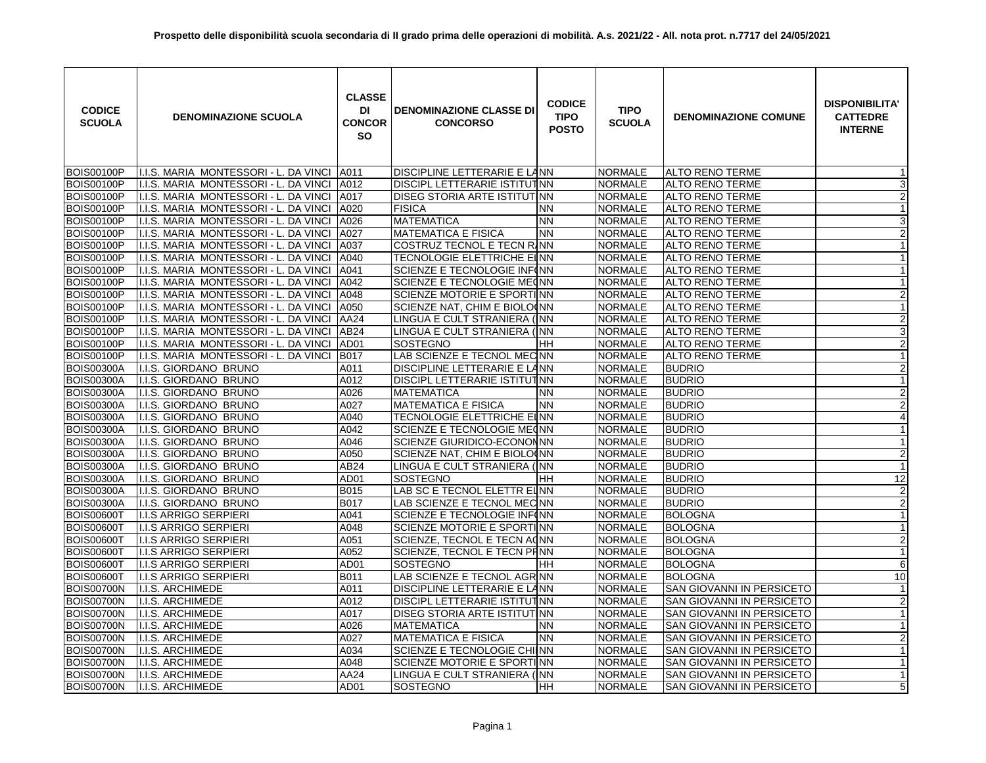| <b>CODICE</b><br><b>SCUOLA</b> | <b>DENOMINAZIONE SCUOLA</b>           | <b>CLASSE</b><br>DI<br><b>CONCOR</b><br><b>SO</b> | <b>DENOMINAZIONE CLASSE DI</b><br><b>CONCORSO</b> | <b>CODICE</b><br><b>TIPO</b><br><b>POSTO</b> | <b>TIPO</b><br><b>SCUOLA</b> | <b>DENOMINAZIONE COMUNE</b>      | <b>DISPONIBILITA'</b><br><b>CATTEDRE</b><br><b>INTERNE</b> |
|--------------------------------|---------------------------------------|---------------------------------------------------|---------------------------------------------------|----------------------------------------------|------------------------------|----------------------------------|------------------------------------------------------------|
| <b>BOIS00100P</b>              | I.I.S. MARIA MONTESSORI - L. DA VINCI | A011                                              | DISCIPLINE LETTERARIE E LANN                      |                                              | <b>NORMALE</b>               | <b>ALTO RENO TERME</b>           | -1                                                         |
| <b>BOIS00100P</b>              | I.I.S. MARIA MONTESSORI - L. DA VINCI | A012                                              | DISCIPL LETTERARIE ISTITUTNN                      |                                              | <b>NORMALE</b>               | <b>ALTO RENO TERME</b>           | 3                                                          |
| <b>BOIS00100P</b>              | I.I.S. MARIA MONTESSORI - L. DA VINCI | A017                                              | DISEG STORIA ARTE ISTITUTINN                      |                                              | <b>NORMALE</b>               | <b>ALTO RENO TERME</b>           | $\overline{2}$                                             |
| <b>BOIS00100P</b>              | I.I.S. MARIA MONTESSORI - L. DA VINCI | A020                                              | <b>FISICA</b>                                     | <b>NN</b>                                    | <b>NORMALE</b>               | <b>ALTO RENO TERME</b>           | $\mathbf{1}$                                               |
| <b>BOIS00100P</b>              | I.I.S. MARIA MONTESSORI - L. DA VINCI | A026                                              | <b>MATEMATICA</b>                                 | <b>NN</b>                                    | <b>NORMALE</b>               | <b>ALTO RENO TERME</b>           | 3                                                          |
| <b>BOIS00100P</b>              | I.I.S. MARIA MONTESSORI - L. DA VINCI | A027                                              | <b>MATEMATICA E FISICA</b>                        | <b>NN</b>                                    | NORMALE                      | <b>ALTO RENO TERME</b>           | $\overline{2}$                                             |
| <b>BOIS00100P</b>              | I.I.S. MARIA MONTESSORI - L. DA VINCI | A037                                              | COSTRUZ TECNOL E TECN RINN                        |                                              | NORMALE                      | <b>ALTO RENO TERME</b>           | $\mathbf{1}$                                               |
| <b>BOIS00100P</b>              | I.I.S. MARIA MONTESSORI - L. DA VINCI | A040                                              | TECNOLOGIE ELETTRICHE EINN                        |                                              | <b>NORMALE</b>               | <b>ALTO RENO TERME</b>           | $\mathbf{1}$                                               |
| <b>BOIS00100P</b>              | I.I.S. MARIA MONTESSORI - L. DA VINCI | A041                                              | SCIENZE E TECNOLOGIE INFINN                       |                                              | <b>NORMALE</b>               | <b>ALTO RENO TERME</b>           | $\mathbf{1}$                                               |
| <b>BOIS00100P</b>              | I.I.S. MARIA MONTESSORI - L. DA VINCI | A042                                              | SCIENZE E TECNOLOGIE MECNN                        |                                              | <b>NORMALE</b>               | <b>ALTO RENO TERME</b>           | $\mathbf{1}$                                               |
| <b>BOIS00100P</b>              | I.I.S. MARIA MONTESSORI - L. DA VINCI | A048                                              | SCIENZE MOTORIE E SPORTINN                        |                                              | <b>NORMALE</b>               | <b>ALTO RENO TERME</b>           | $\overline{a}$                                             |
| <b>BOIS00100P</b>              | I.I.S. MARIA MONTESSORI - L. DA VINCI | A050                                              | SCIENZE NAT, CHIM E BIOLO(NN                      |                                              | <b>NORMALE</b>               | <b>ALTO RENO TERME</b>           | $\overline{1}$                                             |
| <b>BOIS00100P</b>              | I.I.S. MARIA MONTESSORI - L. DA VINCI | AA24                                              | LINGUA E CULT STRANIERA (INN                      |                                              | NORMALE                      | <b>ALTO RENO TERME</b>           | $\overline{2}$                                             |
| <b>BOIS00100P</b>              | I.I.S. MARIA MONTESSORI - L. DA VINCI | AB24                                              | LINGUA E CULT STRANIERA (INN                      |                                              | <b>NORMALE</b>               | <b>ALTO RENO TERME</b>           | 3                                                          |
| <b>BOIS00100P</b>              | I.I.S. MARIA MONTESSORI - L. DA VINCI | AD01                                              | <b>SOSTEGNO</b>                                   | HH                                           | <b>NORMALE</b>               | <b>ALTO RENO TERME</b>           | $\overline{2}$                                             |
| <b>BOIS00100P</b>              | I.I.S. MARIA MONTESSORI - L. DA VINCI | <b>B017</b>                                       | LAB SCIENZE E TECNOL MECNN                        |                                              | <b>NORMALE</b>               | <b>ALTO RENO TERME</b>           | $\mathbf{1}$                                               |
| <b>BOIS00300A</b>              | I.I.S. GIORDANO BRUNO                 | A011                                              | DISCIPLINE LETTERARIE E LANN                      |                                              | <b>NORMALE</b>               | <b>BUDRIO</b>                    | $\overline{2}$                                             |
| <b>BOIS00300A</b>              | I.I.S. GIORDANO BRUNO                 | A012                                              | DISCIPL LETTERARIE ISTITUTINN                     |                                              | <b>NORMALE</b>               | <b>BUDRIO</b>                    | $\mathbf{1}$                                               |
| <b>BOIS00300A</b>              | I.I.S. GIORDANO BRUNO                 | A026                                              | <b>MATEMATICA</b>                                 | <b>NN</b>                                    | <b>NORMALE</b>               | <b>BUDRIO</b>                    | $\overline{2}$                                             |
| <b>BOIS00300A</b>              | I.I.S. GIORDANO BRUNO                 | A027                                              | <b>MATEMATICA E FISICA</b>                        | <b>NN</b>                                    | <b>NORMALE</b>               | <b>BUDRIO</b>                    | $\overline{2}$                                             |
| <b>BOIS00300A</b>              | I.I.S. GIORDANO BRUNO                 | A040                                              | TECNOLOGIE ELETTRICHE EINN                        |                                              | <b>NORMALE</b>               | <b>BUDRIO</b>                    | $\overline{4}$                                             |
| <b>BOIS00300A</b>              | I.I.S. GIORDANO BRUNO                 | A042                                              | SCIENZE E TECNOLOGIE ME(NN                        |                                              | <b>NORMALE</b>               | <b>BUDRIO</b>                    | $\mathbf{1}$                                               |
| <b>BOIS00300A</b>              | I.I.S. GIORDANO BRUNO                 | A046                                              | SCIENZE GIURIDICO-ECONONNN                        |                                              | <b>NORMALE</b>               | <b>BUDRIO</b>                    | $\mathbf{1}$                                               |
| <b>BOIS00300A</b>              | I.I.S. GIORDANO BRUNO                 | A050                                              | SCIENZE NAT, CHIM E BIOLO(NN                      |                                              | <b>NORMALE</b>               | <b>BUDRIO</b>                    | $\overline{2}$                                             |
| <b>BOIS00300A</b>              | I.I.S. GIORDANO BRUNO                 | AB24                                              | LINGUA E CULT STRANIERA (INN                      |                                              | <b>NORMALE</b>               | <b>BUDRIO</b>                    | $\mathbf{1}$                                               |
| <b>BOIS00300A</b>              | I.I.S. GIORDANO BRUNO                 | AD <sub>01</sub>                                  | <b>SOSTEGNO</b>                                   | HН                                           | NORMALE                      | <b>BUDRIO</b>                    | 12                                                         |
| <b>BOIS00300A</b>              | I.I.S. GIORDANO BRUNO                 | <b>B015</b>                                       | LAB SC E TECNOL ELETTR ELNN                       |                                              | NORMALE                      | <b>BUDRIO</b>                    | $\overline{2}$                                             |
| <b>BOIS00300A</b>              | I.I.S. GIORDANO BRUNO                 | <b>B017</b>                                       | LAB SCIENZE E TECNOL MEC NN                       |                                              | <b>NORMALE</b>               | <b>BUDRIO</b>                    | $\overline{2}$                                             |
| <b>BOIS00600T</b>              | <b>I.I.S ARRIGO SERPIERI</b>          | A041                                              | SCIENZE E TECNOLOGIE INF(NN                       |                                              | NORMALE                      | <b>BOLOGNA</b>                   | $\mathbf{1}$                                               |
| <b>BOIS00600T</b>              | <b>I.I.S ARRIGO SERPIERI</b>          | A048                                              | SCIENZE MOTORIE E SPORTINN                        |                                              | <b>NORMALE</b>               | <b>BOLOGNA</b>                   | $\mathbf{1}$                                               |
| <b>BOIS00600T</b>              | <b>I.I.S ARRIGO SERPIERI</b>          | A051                                              | SCIENZE, TECNOL E TECN ACNN                       |                                              | <b>NORMALE</b>               | <b>BOLOGNA</b>                   | $\overline{2}$                                             |
| BOIS006001                     | <b>I.I.S ARRIGO SERPIERI</b>          | A052                                              | SCIENZE, TECNOL E TECN PHNN                       |                                              | <b>NORMALE</b>               | <b>BOLOGNA</b>                   | $\mathbf{1}$                                               |
| <b>BOIS00600T</b>              | I.I.S ARRIGO SERPIERI                 | AD01                                              | SOSTEGNO                                          | HН                                           | <b>NORMALE</b>               | <b>BOLOGNA</b>                   | 6                                                          |
| <b>BOIS00600T</b>              | <b>I.I.S ARRIGO SERPIERI</b>          | <b>B011</b>                                       | LAB SCIENZE E TECNOL AGRINN                       |                                              | <b>NORMALE</b>               | <b>BOLOGNA</b>                   | 10                                                         |
| <b>BOIS00700N</b>              | I.I.S. ARCHIMEDE                      | A011                                              | DISCIPLINE LETTERARIE E LANN                      |                                              | <b>NORMALE</b>               | SAN GIOVANNI IN PERSICETO        | $\mathbf{1}$                                               |
| <b>BOIS00700N</b>              | I.I.S. ARCHIMEDE                      | A012                                              | DISCIPL LETTERARIE ISTITUTINN                     |                                              | <b>NORMALE</b>               | SAN GIOVANNI IN PERSICETO        | $\overline{2}$                                             |
| <b>BOIS00700N</b>              | I.I.S. ARCHIMEDE                      | A017                                              | DISEG STORIA ARTE ISTITUTINN                      |                                              | <b>NORMALE</b>               | <b>SAN GIOVANNI IN PERSICETO</b> | $\mathbf{1}$                                               |
| <b>BOIS00700N</b>              | I.I.S. ARCHIMEDE                      | A026                                              | <b>MATEMATICA</b>                                 | <b>NN</b>                                    | <b>NORMALE</b>               | <b>SAN GIOVANNI IN PERSICETO</b> | $\mathbf{1}$                                               |
| <b>BOIS00700N</b>              | <b>I.I.S. ARCHIMEDE</b>               | A027                                              | <b>MATEMATICA E FISICA</b>                        | <b>NN</b>                                    | NORMALE                      | SAN GIOVANNI IN PERSICETO        | $\overline{2}$                                             |
| <b>BOIS00700N</b>              | I.I.S. ARCHIMEDE                      | A034                                              | SCIENZE E TECNOLOGIE CHIINN                       |                                              | <b>NORMALE</b>               | SAN GIOVANNI IN PERSICETO        | $\mathbf{1}$                                               |
| <b>BOIS00700N</b>              | I.I.S. ARCHIMEDE                      | A048                                              | SCIENZE MOTORIE E SPORTINN                        |                                              | <b>NORMALE</b>               | SAN GIOVANNI IN PERSICETO        | $\mathbf{1}$                                               |
| <b>BOIS00700N</b>              | <b>I.I.S. ARCHIMEDE</b>               | AA24                                              | LINGUA E CULT STRANIERA (INN                      |                                              | <b>NORMALE</b>               | SAN GIOVANNI IN PERSICETO        | $\mathbf{1}$                                               |
| <b>BOIS00700N</b>              | I.I.S. ARCHIMEDE                      | AD01                                              | SOSTEGNO                                          | HH                                           | <b>NORMALE</b>               | SAN GIOVANNI IN PERSICETO        | 5                                                          |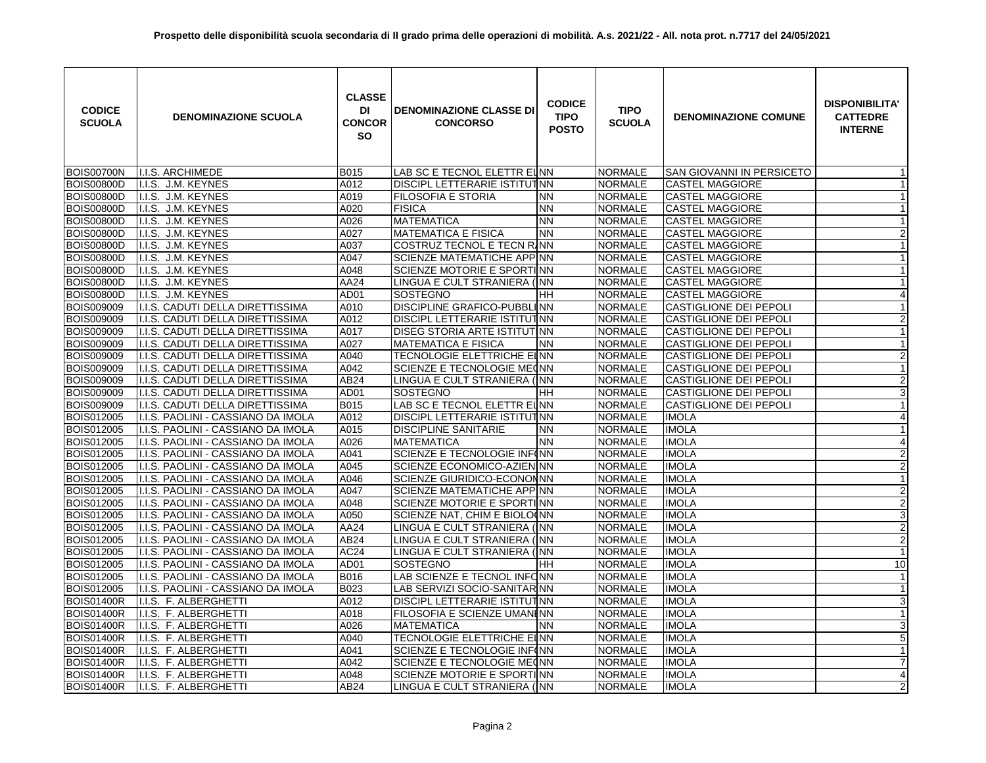| <b>CODICE</b><br><b>SCUOLA</b> | <b>DENOMINAZIONE SCUOLA</b>        | <b>CLASSE</b><br>DI<br><b>CONCOR</b><br><b>SO</b> | <b>DENOMINAZIONE CLASSE DI</b><br><b>CONCORSO</b> | <b>CODICE</b><br><b>TIPO</b><br><b>POSTO</b> | <b>TIPO</b><br><b>SCUOLA</b> | <b>DENOMINAZIONE COMUNE</b>   | <b>DISPONIBILITA'</b><br><b>CATTEDRE</b><br><b>INTERNE</b> |
|--------------------------------|------------------------------------|---------------------------------------------------|---------------------------------------------------|----------------------------------------------|------------------------------|-------------------------------|------------------------------------------------------------|
| <b>BOIS00700N</b>              | I.I.S. ARCHIMEDE                   | <b>B015</b>                                       | LAB SC E TECNOL ELETTR EINN                       |                                              | <b>NORMALE</b>               | SAN GIOVANNI IN PERSICETO     | $\mathbf 1$                                                |
| <b>BOIS00800D</b>              | I.I.S. J.M. KEYNES                 | A012                                              | DISCIPL LETTERARIE ISTITUTINN                     |                                              | <b>NORMALE</b>               | <b>CASTEL MAGGIORE</b>        | $\mathbf{1}$                                               |
| <b>BOIS00800D</b>              | I.I.S. J.M. KEYNES                 | A019                                              | FILOSOFIA E STORIA                                | <b>NN</b>                                    | <b>NORMALE</b>               | <b>CASTEL MAGGIORE</b>        | $\mathbf{1}$                                               |
| <b>BOIS00800D</b>              | I.I.S. J.M. KEYNES                 | A020                                              | <b>FISICA</b>                                     | <b>NN</b>                                    | <b>NORMALE</b>               | <b>CASTEL MAGGIORE</b>        | $\mathbf{1}$                                               |
| <b>BOIS00800D</b>              | I.I.S. J.M. KEYNES                 | A026                                              | <b>MATEMATICA</b>                                 | <b>NN</b>                                    | <b>NORMALE</b>               | <b>CASTEL MAGGIORE</b>        | $\mathbf{1}$                                               |
| <b>BOIS00800D</b>              | I.I.S. J.M. KEYNES                 | A027                                              | <b>MATEMATICA E FISICA</b>                        | <b>NN</b>                                    | <b>NORMALE</b>               | <b>CASTEL MAGGIORE</b>        | $\overline{2}$                                             |
| <b>BOIS00800D</b>              | I.I.S. J.M. KEYNES                 | A037                                              | COSTRUZ TECNOL E TECN RINN                        |                                              | <b>NORMALE</b>               | <b>CASTEL MAGGIORE</b>        | $\mathbf{1}$                                               |
| <b>BOIS00800D</b>              | I.I.S. J.M. KEYNES                 | A047                                              | <b>SCIENZE MATEMATICHE APPINN</b>                 |                                              | <b>NORMALE</b>               | <b>CASTEL MAGGIORE</b>        | $\mathbf{1}$                                               |
| <b>BOIS00800D</b>              | I.I.S. J.M. KEYNES                 | A048                                              | SCIENZE MOTORIE E SPORTINN                        |                                              | <b>NORMALE</b>               | <b>CASTEL MAGGIORE</b>        | $\mathbf{1}$                                               |
| <b>BOIS00800D</b>              | I.I.S. J.M. KEYNES                 | AA24                                              | LINGUA E CULT STRANIERA (INN                      |                                              | <b>NORMALE</b>               | <b>CASTEL MAGGIORE</b>        | $\mathbf{1}$                                               |
| <b>BOIS00800D</b>              | I.I.S. J.M. KEYNES                 | AD01                                              | <b>SOSTEGNO</b>                                   | HН                                           | <b>NORMALE</b>               | <b>CASTEL MAGGIORE</b>        | $\overline{\mathbf{r}}$                                    |
| <b>BOIS009009</b>              | I.I.S. CADUTI DELLA DIRETTISSIMA   | A010                                              | DISCIPLINE GRAFICO-PUBBLINN                       |                                              | <b>NORMALE</b>               | CASTIGLIONE DEI PEPOLI        | $\mathbf{1}$                                               |
| <b>BOIS009009</b>              | I.I.S. CADUTI DELLA DIRETTISSIMA   | A012                                              | DISCIPL LETTERARIE ISTITUTINN                     |                                              | <b>NORMALE</b>               | <b>CASTIGLIONE DEI PEPOLI</b> | $\overline{2}$                                             |
| BOIS009009                     | I.I.S. CADUTI DELLA DIRETTISSIMA   | A017                                              | DISEG STORIA ARTE ISTITUTINN                      |                                              | <b>NORMALE</b>               | <b>CASTIGLIONE DEI PEPOLI</b> | $\mathbf{1}$                                               |
| BOIS009009                     | I.I.S. CADUTI DELLA DIRETTISSIMA   | A027                                              | <b>MATEMATICA E FISICA</b>                        | <b>NN</b>                                    | <b>NORMALE</b>               | <b>CASTIGLIONE DEI PEPOLI</b> | $\mathbf{1}$                                               |
| BOIS009009                     | I.I.S. CADUTI DELLA DIRETTISSIMA   | A040                                              | <b>TECNOLOGIE ELETTRICHE ELINN</b>                |                                              | <b>NORMALE</b>               | <b>CASTIGLIONE DEI PEPOLI</b> | $\overline{a}$                                             |
| BOIS009009                     | I.I.S. CADUTI DELLA DIRETTISSIMA   | A042                                              | SCIENZE E TECNOLOGIE MECNN                        |                                              | <b>NORMALE</b>               | <b>CASTIGLIONE DEI PEPOLI</b> | $\mathbf{1}$                                               |
| BOIS009009                     | I.I.S. CADUTI DELLA DIRETTISSIMA   | AB24                                              | LINGUA E CULT STRANIERA (INN                      |                                              | <b>NORMALE</b>               | <b>CASTIGLIONE DEI PEPOLI</b> | $\overline{2}$                                             |
| BOIS009009                     | I.I.S. CADUTI DELLA DIRETTISSIMA   | AD01                                              | SOSTEGNO                                          | HH                                           | <b>NORMALE</b>               | <b>CASTIGLIONE DEI PEPOLI</b> | $\overline{3}$                                             |
| <b>BOIS009009</b>              | I.I.S. CADUTI DELLA DIRETTISSIMA   | B015                                              | LAB SC E TECNOL ELETTR EUNN                       |                                              | <b>NORMALE</b>               | <b>CASTIGLIONE DEI PEPOLI</b> | $\mathbf{1}$                                               |
| BOIS012005                     | I.I.S. PAOLINI - CASSIANO DA IMOLA | A012                                              | DISCIPL LETTERARIE ISTITUTINN                     |                                              | <b>NORMALE</b>               | <b>IMOLA</b>                  | 4                                                          |
| BOIS012005                     | I.I.S. PAOLINI - CASSIANO DA IMOLA | A015                                              | <b>DISCIPLINE SANITARIE</b>                       | <b>NN</b>                                    | <b>NORMALE</b>               | <b>IMOLA</b>                  | $\overline{1}$                                             |
| <b>BOIS012005</b>              | I.I.S. PAOLINI - CASSIANO DA IMOLA | A026                                              | <b>MATEMATICA</b>                                 | <b>NN</b>                                    | <b>NORMALE</b>               | <b>IMOLA</b>                  | $\overline{\mathbf{4}}$                                    |
| BOIS012005                     | I.I.S. PAOLINI - CASSIANO DA IMOLA | A041                                              | SCIENZE E TECNOLOGIE INF(NN                       |                                              | <b>NORMALE</b>               | <b>IMOLA</b>                  | $\overline{a}$                                             |
| <b>BOIS012005</b>              | I.I.S. PAOLINI - CASSIANO DA IMOLA | A045                                              | SCIENZE ECONOMICO-AZIENINN                        |                                              | <b>NORMALE</b>               | <b>IMOLA</b>                  | $\overline{2}$                                             |
| BOIS012005                     | I.I.S. PAOLINI - CASSIANO DA IMOLA | A046                                              | SCIENZE GIURIDICO-ECONONNN                        |                                              | <b>NORMALE</b>               | <b>IMOLA</b>                  | $\mathbf{1}$                                               |
| BOIS012005                     | I.I.S. PAOLINI - CASSIANO DA IMOLA | A047                                              | SCIENZE MATEMATICHE APPINN                        |                                              | <b>NORMALE</b>               | <b>IMOLA</b>                  | $\overline{2}$                                             |
| BOIS012005                     | I.I.S. PAOLINI - CASSIANO DA IMOLA | A048                                              | SCIENZE MOTORIE E SPORTINN                        |                                              | <b>NORMALE</b>               | <b>IMOLA</b>                  | $\overline{2}$                                             |
| BOIS012005                     | I.I.S. PAOLINI - CASSIANO DA IMOLA | A050                                              | SCIENZE NAT, CHIM E BIOLO(NN                      |                                              | <b>NORMALE</b>               | <b>IMOLA</b>                  | دن                                                         |
| BOIS012005                     | I.I.S. PAOLINI - CASSIANO DA IMOLA | AA24                                              | LINGUA E CULT STRANIERA (INN                      |                                              | <b>NORMALE</b>               | <b>IMOLA</b>                  | $\overline{2}$                                             |
| BOIS012005                     | I.I.S. PAOLINI - CASSIANO DA IMOLA | AB24                                              | LINGUA E CULT STRANIERA (INN                      |                                              | <b>NORMALE</b>               | <b>IMOLA</b>                  | $\overline{\mathbf{c}}$                                    |
| BOIS012005                     | I.I.S. PAOLINI - CASSIANO DA IMOLA | AC <sub>24</sub>                                  | LINGUA E CULT STRANIERA (INN                      |                                              | <b>NORMALE</b>               | <b>IMOLA</b>                  | $\mathbf{1}$                                               |
| <b>BOIS012005</b>              | I.I.S. PAOLINI - CASSIANO DA IMOLA | AD01                                              | <b>SOSTEGNO</b>                                   | HΗ                                           | <b>NORMALE</b>               | <b>IMOLA</b>                  | 10                                                         |
| BOIS012005                     | I.I.S. PAOLINI - CASSIANO DA IMOLA | B016                                              | LAB SCIENZE E TECNOL INFONN                       |                                              | <b>NORMALE</b>               | <b>IMOLA</b>                  |                                                            |
| BOIS012005                     | I.I.S. PAOLINI - CASSIANO DA IMOLA | B023                                              | LAB SERVIZI SOCIO-SANITARINN                      |                                              | <b>NORMALE</b>               | <b>IMOLA</b>                  | $\mathbf{1}$                                               |
| <b>BOIS01400R</b>              | I.I.S. F. ALBERGHETTI              | A012                                              | DISCIPL LETTERARIE ISTITUTINN                     |                                              | <b>NORMALE</b>               | <b>IMOLA</b>                  | $\overline{3}$                                             |
| <b>BOIS01400R</b>              | I.I.S. F. ALBERGHETTI              | A018                                              | <b>FILOSOFIA E SCIENZE UMANI NN</b>               |                                              | <b>NORMALE</b>               | <b>IMOLA</b>                  | $\mathbf{1}$                                               |
| <b>BOIS01400R</b>              | I.I.S. F. ALBERGHETTI              | A026                                              | <b>MATEMATICA</b>                                 | <b>NN</b>                                    | <b>NORMALE</b>               | <b>IMOLA</b>                  | 3                                                          |
| <b>BOIS01400R</b>              | I.I.S. F. ALBERGHETTI              | A040                                              | TECNOLOGIE ELETTRICHE EINN                        |                                              | <b>NORMALE</b>               | <b>IMOLA</b>                  | $\overline{5}$                                             |
| <b>BOIS01400R</b>              | I.I.S. F. ALBERGHETTI              | A041                                              | SCIENZE E TECNOLOGIE INF(NN                       |                                              | <b>NORMALE</b>               | <b>IMOLA</b>                  | $\mathbf{1}$                                               |
| <b>BOIS01400R</b>              | I.I.S. F. ALBERGHETTI              | A042                                              | SCIENZE E TECNOLOGIE MECNN                        |                                              | <b>NORMALE</b>               | <b>IMOLA</b>                  | $\overline{7}$                                             |
| <b>BOIS01400R</b>              | I.I.S. F. ALBERGHETTI              | A048                                              | SCIENZE MOTORIE E SPORTINN                        |                                              | <b>NORMALE</b>               | <b>IMOLA</b>                  | $\overline{4}$                                             |
| <b>BOIS01400R</b>              | I.I.S. F. ALBERGHETTI              | AB24                                              | LINGUA E CULT STRANIERA (INN                      |                                              | <b>NORMALE</b>               | <b>IMOLA</b>                  | $\overline{2}$                                             |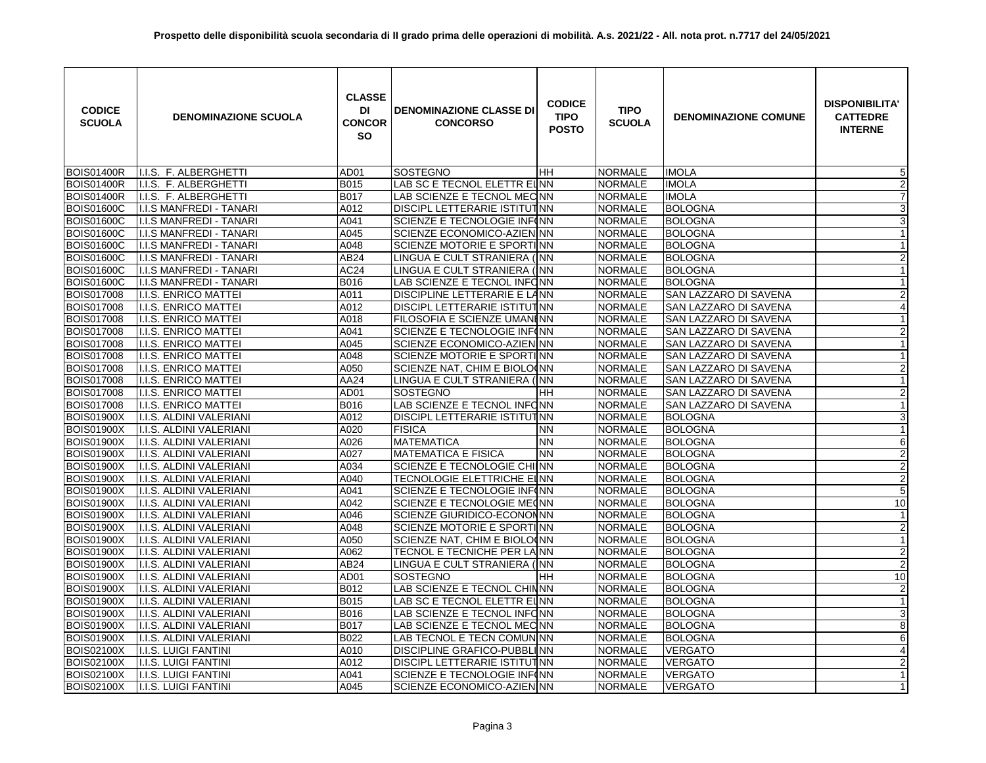| <b>CODICE</b><br><b>SCUOLA</b> | <b>DENOMINAZIONE SCUOLA</b>    | <b>CLASSE</b><br>DI<br><b>CONCOR</b><br><b>SO</b> | <b>DENOMINAZIONE CLASSE DI</b><br><b>CONCORSO</b> | <b>CODICE</b><br><b>TIPO</b><br><b>POSTO</b> | <b>TIPO</b><br><b>SCUOLA</b> | <b>DENOMINAZIONE COMUNE</b> | <b>DISPONIBILITA'</b><br><b>CATTEDRE</b><br><b>INTERNE</b> |
|--------------------------------|--------------------------------|---------------------------------------------------|---------------------------------------------------|----------------------------------------------|------------------------------|-----------------------------|------------------------------------------------------------|
| <b>BOIS01400R</b>              | I.I.S. F. ALBERGHETTI          | AD01                                              | <b>SOSTEGNO</b>                                   | IHH.                                         | <b>NORMALE</b>               | <b>IMOLA</b>                | $\overline{5}$                                             |
| <b>BOIS01400R</b>              | I.I.S. F. ALBERGHETTI          | B015                                              | LAB SC E TECNOL ELETTR EUNN                       |                                              | <b>NORMALE</b>               | <b>IMOLA</b>                | $\overline{2}$                                             |
| <b>BOIS01400R</b>              | I.I.S. F. ALBERGHETTI          | <b>B017</b>                                       | LAB SCIENZE E TECNOL MECNN                        |                                              | <b>NORMALE</b>               | <b>IMOLA</b>                | $\overline{7}$                                             |
| <b>BOIS01600C</b>              | <b>I.I.S MANFREDI - TANARI</b> | A012                                              | DISCIPL LETTERARIE ISTITUTINN                     |                                              | <b>NORMALE</b>               | <b>BOLOGNA</b>              | $\overline{3}$                                             |
| <b>BOIS01600C</b>              | <b>I.I.S MANFREDI - TANARI</b> | A041                                              | SCIENZE E TECNOLOGIE INF(NN                       |                                              | <b>NORMALE</b>               | <b>BOLOGNA</b>              | $\overline{3}$                                             |
| <b>BOIS01600C</b>              | I.I.S MANFREDI - TANARI        | A045                                              | SCIENZE ECONOMICO-AZIENINN                        |                                              | <b>NORMALE</b>               | <b>BOLOGNA</b>              | $\mathbf{1}$                                               |
| <b>BOIS01600C</b>              | I.I.S MANFREDI - TANARI        | A048                                              | SCIENZE MOTORIE E SPORTINN                        |                                              | <b>NORMALE</b>               | <b>BOLOGNA</b>              | $\mathbf{1}$                                               |
| <b>BOIS01600C</b>              | I.I.S MANFREDI - TANARI        | AB24                                              | LINGUA E CULT STRANIERA (NN                       |                                              | <b>NORMALE</b>               | <b>BOLOGNA</b>              | $\overline{2}$                                             |
| <b>BOIS01600C</b>              | I.I.S MANFREDI - TANARI        | AC <sub>24</sub>                                  | LINGUA E CULT STRANIERA (INN                      |                                              | <b>NORMALE</b>               | <b>BOLOGNA</b>              | $\mathbf{1}$                                               |
| <b>BOIS01600C</b>              | I.I.S MANFREDI - TANARI        | B016                                              | LAB SCIENZE E TECNOL INFONN                       |                                              | <b>NORMALE</b>               | <b>BOLOGNA</b>              | $\mathbf{1}$                                               |
| <b>BOIS017008</b>              | I.I.S. ENRICO MATTEI           | A011                                              | <b>DISCIPLINE LETTERARIE E LANN</b>               |                                              | <b>NORMALE</b>               | SAN LAZZARO DI SAVENA       | $\overline{2}$                                             |
| <b>BOIS017008</b>              | <b>I.I.S. ENRICO MATTEI</b>    | A012                                              | DISCIPL LETTERARIE ISTITUTNN                      |                                              | <b>NORMALE</b>               | SAN LAZZARO DI SAVENA       | $\overline{4}$                                             |
| <b>BOIS017008</b>              | I.I.S. ENRICO MATTEI           | A018                                              | FILOSOFIA E SCIENZE UMANI NN                      |                                              | <b>NORMALE</b>               | SAN LAZZARO DI SAVENA       | $\overline{1}$                                             |
| <b>BOIS017008</b>              | <b>I.I.S. ENRICO MATTEI</b>    | A041                                              | SCIENZE E TECNOLOGIE INFINN                       |                                              | <b>NORMALE</b>               | SAN LAZZARO DI SAVENA       | $\overline{2}$                                             |
| <b>BOIS017008</b>              | I.I.S. ENRICO MATTEI           | A045                                              | SCIENZE ECONOMICO-AZIENINN                        |                                              | <b>NORMALE</b>               | SAN LAZZARO DI SAVENA       | $\mathbf{1}$                                               |
| <b>BOIS017008</b>              | <b>I.I.S. ENRICO MATTEI</b>    | A048                                              | SCIENZE MOTORIE E SPORTINN                        |                                              | <b>NORMALE</b>               | SAN LAZZARO DI SAVENA       | $\mathbf{1}$                                               |
| <b>BOIS017008</b>              | <b>I.I.S. ENRICO MATTEI</b>    | A050                                              | SCIENZE NAT, CHIM E BIOLO(NN                      |                                              | <b>NORMALE</b>               | SAN LAZZARO DI SAVENA       | $\overline{a}$                                             |
| BOIS017008                     | I.I.S. ENRICO MATTEI           | AA24                                              | LINGUA E CULT STRANIERA (INN                      |                                              | <b>NORMALE</b>               | SAN LAZZARO DI SAVENA       | $\mathbf{1}$                                               |
| <b>BOIS017008</b>              | I.I.S. ENRICO MATTEI           | AD01                                              | <b>SOSTEGNO</b>                                   | HH                                           | <b>NORMALE</b>               | SAN LAZZARO DI SAVENA       | $\overline{c}$                                             |
| <b>BOIS017008</b>              | I.I.S. ENRICO MATTEI           | <b>B016</b>                                       | LAB SCIENZE E TECNOL INFONN                       |                                              | <b>NORMALE</b>               | SAN LAZZARO DI SAVENA       | $\overline{1}$                                             |
| <b>BOIS01900X</b>              | I.I.S. ALDINI VALERIANI        | A012                                              | DISCIPL LETTERARIE ISTITUTINN                     |                                              | <b>NORMALE</b>               | <b>BOLOGNA</b>              | 3                                                          |
| <b>BOIS01900X</b>              | I.I.S. ALDINI VALERIANI        | A020                                              | <b>FISICA</b>                                     | <b>NN</b>                                    | <b>NORMALE</b>               | <b>BOLOGNA</b>              | $\mathbf{1}$                                               |
| <b>BOIS01900X</b>              | I.I.S. ALDINI VALERIANI        | A026                                              | <b>MATEMATICA</b>                                 | <b>NN</b>                                    | <b>NORMALE</b>               | <b>BOLOGNA</b>              | 6                                                          |
| <b>BOIS01900X</b>              | I.I.S. ALDINI VALERIANI        | A027                                              | <b>MATEMATICA E FISICA</b>                        | <b>NN</b>                                    | <b>NORMALE</b>               | <b>BOLOGNA</b>              | $\overline{2}$                                             |
| <b>BOIS01900X</b>              | I.I.S. ALDINI VALERIANI        | A034                                              | SCIENZE E TECNOLOGIE CHIINN                       |                                              | <b>NORMALE</b>               | <b>BOLOGNA</b>              | $\overline{2}$                                             |
| <b>BOIS01900X</b>              | I.I.S. ALDINI VALERIANI        | A040                                              | TECNOLOGIE ELETTRICHE EINN                        |                                              | <b>NORMALE</b>               | BOLOGNA                     | $\overline{2}$                                             |
| <b>BOIS01900X</b>              | I.I.S. ALDINI VALERIANI        | A041                                              | SCIENZE E TECNOLOGIE INFINN                       |                                              | <b>NORMALE</b>               | <b>BOLOGNA</b>              | 5                                                          |
| <b>BOIS01900X</b>              | I.I.S. ALDINI VALERIANI        | A042                                              | SCIENZE E TECNOLOGIE ME(NN                        |                                              | <b>NORMALE</b>               | <b>BOLOGNA</b>              | 10                                                         |
| <b>BOIS01900X</b>              | I.I.S. ALDINI VALERIANI        | A046                                              | <b>SCIENZE GIURIDICO-ECONONNN</b>                 |                                              | <b>NORMALE</b>               | <b>BOLOGNA</b>              | $\mathbf{1}$                                               |
| <b>BOIS01900X</b>              | I.I.S. ALDINI VALERIANI        | A048                                              | SCIENZE MOTORIE E SPORTINN                        |                                              | <b>NORMALE</b>               | <b>BOLOGNA</b>              | $\overline{2}$                                             |
| <b>BOIS01900X</b>              | I.I.S. ALDINI VALERIANI        | A050                                              | SCIENZE NAT, CHIM E BIOLO(NN                      |                                              | <b>NORMALE</b>               | <b>BOLOGNA</b>              | $\mathbf{1}$                                               |
| <b>BOIS01900X</b>              | I.I.S. ALDINI VALERIANI        | A062                                              | TECNOL E TECNICHE PER LA NN                       |                                              | <b>NORMALE</b>               | <b>BOLOGNA</b>              | $\overline{2}$                                             |
| <b>BOIS01900X</b>              | I.I.S. ALDINI VALERIANI        | AB24                                              | LINGUA E CULT STRANIERA (INN                      |                                              | <b>NORMALE</b>               | <b>BOLOGNA</b>              | $\overline{\mathbf{c}}$                                    |
| <b>BOIS01900X</b>              | I.I.S. ALDINI VALERIANI        | AD01                                              | <b>SOSTEGNO</b>                                   | HH                                           | <b>NORMALE</b>               | <b>BOLOGNA</b>              | 10                                                         |
| <b>BOIS01900X</b>              | I.I.S. ALDINI VALERIANI        | B012                                              | LAB SCIENZE E TECNOL CHINNN                       |                                              | <b>NORMALE</b>               | <b>BOLOGNA</b>              | $\overline{2}$                                             |
| <b>BOIS01900X</b>              | I.I.S. ALDINI VALERIANI        | <b>B015</b>                                       | LAB SC E TECNOL ELETTR EUNN                       |                                              | <b>NORMALE</b>               | <b>BOLOGNA</b>              | $\mathbf{1}$                                               |
| <b>BOIS01900X</b>              | I.I.S. ALDINI VALERIANI        | <b>B016</b>                                       | LAB SCIENZE E TECNOL INFONN                       |                                              | <b>NORMALE</b>               | <b>BOLOGNA</b>              | ω                                                          |
| <b>BOIS01900X</b>              | I.I.S. ALDINI VALERIANI        | <b>B017</b>                                       | LAB SCIENZE E TECNOL MECNN                        |                                              | <b>NORMALE</b>               | <b>BOLOGNA</b>              | $\overline{8}$                                             |
| <b>BOIS01900X</b>              | I.I.S. ALDINI VALERIANI        | <b>B022</b>                                       | LAB TECNOL E TECN COMUNINN                        |                                              | <b>NORMALE</b>               | BOLOGNA                     | $6\overline{6}$                                            |
| <b>BOIS02100X</b>              | I.I.S. LUIGI FANTINI           | A010                                              | <b>DISCIPLINE GRAFICO-PUBBLI NN</b>               |                                              | <b>NORMALE</b>               | <b>VERGATO</b>              | $\overline{\mathcal{A}}$                                   |
| <b>BOIS02100X</b>              | <b>I.I.S. LUIGI FANTINI</b>    | A012                                              | DISCIPL LETTERARIE ISTITUTINN                     |                                              | <b>NORMALE</b>               | <b>VERGATO</b>              | $\overline{2}$                                             |
| <b>BOIS02100X</b>              | <b>I.I.S. LUIGI FANTINI</b>    | A041                                              | SCIENZE E TECNOLOGIE INFINN                       |                                              | <b>NORMALE</b>               | <b>VERGATO</b>              | $\mathbf{1}$                                               |
| <b>BOIS02100X</b>              | <b>I.I.S. LUIGI FANTINI</b>    | A045                                              | SCIENZE ECONOMICO-AZIENINN                        |                                              | <b>NORMALE</b>               | <b>VERGATO</b>              | 1                                                          |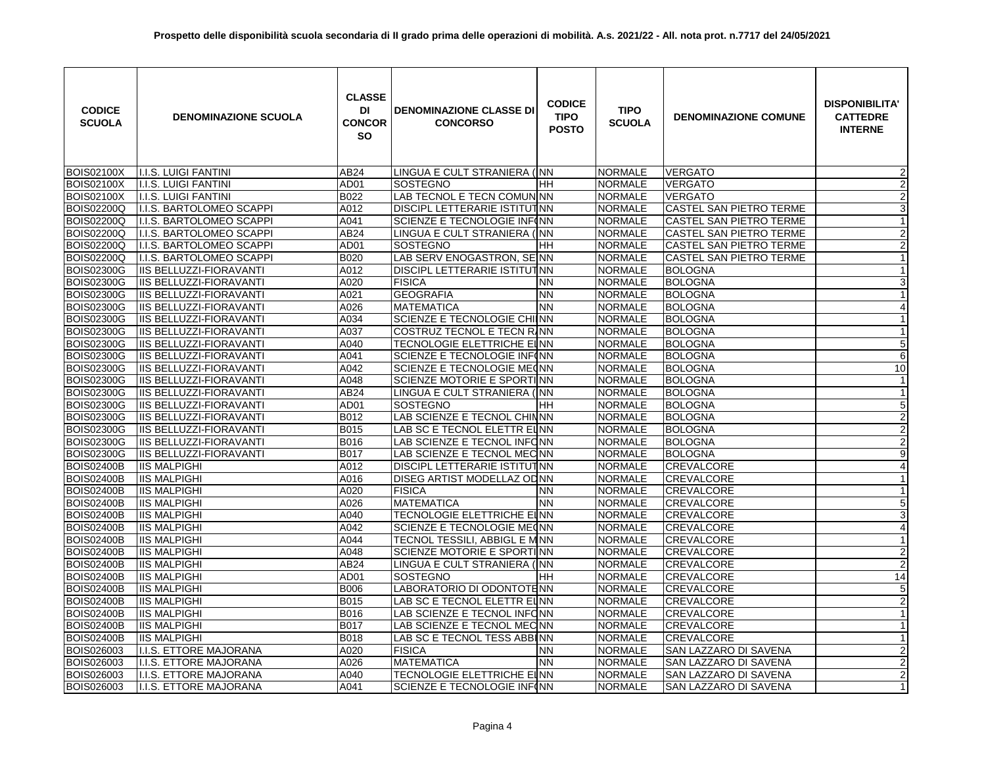| <b>CODICE</b><br><b>SCUOLA</b> | <b>DENOMINAZIONE SCUOLA</b>    | <b>CLASSE</b><br>DI<br><b>CONCOR</b><br><b>SO</b> | <b>DENOMINAZIONE CLASSE DI</b><br><b>CONCORSO</b> | <b>CODICE</b><br><b>TIPO</b><br><b>POSTO</b> | <b>TIPO</b><br><b>SCUOLA</b> | <b>DENOMINAZIONE COMUNE</b>    | <b>DISPONIBILITA'</b><br><b>CATTEDRE</b><br><b>INTERNE</b> |
|--------------------------------|--------------------------------|---------------------------------------------------|---------------------------------------------------|----------------------------------------------|------------------------------|--------------------------------|------------------------------------------------------------|
| <b>BOIS02100X</b>              | <b>I.I.S. LUIGI FANTINI</b>    | AB24                                              | LINGUA E CULT STRANIERA (INN                      |                                              | <b>NORMALE</b>               | <b>VERGATO</b>                 | $\overline{2}$                                             |
| <b>BOIS02100X</b>              | <b>I.I.S. LUIGI FANTINI</b>    | AD01                                              | SOSTEGNO                                          | HН                                           | <b>NORMALE</b>               | <b>VERGATO</b>                 | $\boldsymbol{2}$                                           |
| <b>BOIS02100X</b>              | <b>I.I.S. LUIGI FANTINI</b>    | B022                                              | LAB TECNOL E TECN COMUN NN                        |                                              | <b>NORMALE</b>               | <b>VERGATO</b>                 | $\overline{2}$                                             |
| <b>BOIS02200Q</b>              | I.I.S. BARTOLOMEO SCAPPI       | A012                                              | DISCIPL LETTERARIE ISTITUTINN                     |                                              | <b>NORMALE</b>               | <b>CASTEL SAN PIETRO TERME</b> | $\overline{3}$                                             |
| <b>BOIS02200Q</b>              | I.I.S. BARTOLOMEO SCAPPI       | A041                                              | SCIENZE E TECNOLOGIE INF(NN                       |                                              | <b>NORMALE</b>               | <b>CASTEL SAN PIETRO TERME</b> | $\mathbf{1}$                                               |
| <b>BOIS02200Q</b>              | I.I.S. BARTOLOMEO SCAPPI       | AB24                                              | LINGUA E CULT STRANIERA (INN                      |                                              | <b>NORMALE</b>               | CASTEL SAN PIETRO TERME        | $\overline{2}$                                             |
| <b>BOIS02200Q</b>              | I.I.S. BARTOLOMEO SCAPPI       | AD01                                              | SOSTEGNO                                          | HH.                                          | <b>NORMALE</b>               | CASTEL SAN PIETRO TERME        | $\overline{2}$                                             |
| <b>BOIS02200Q</b>              | I.I.S. BARTOLOMEO SCAPPI       | B020                                              | LAB SERV ENOGASTRON, SEINN                        |                                              | <b>NORMALE</b>               | CASTEL SAN PIETRO TERME        | $\overline{1}$                                             |
| <b>BOIS02300G</b>              | IIS BELLUZZI-FIORAVANTI        | A012                                              | DISCIPL LETTERARIE ISTITUTINN                     |                                              | <b>NORMALE</b>               | <b>BOLOGNA</b>                 | $\mathbf{1}$                                               |
| <b>BOIS02300G</b>              | IIS BELLUZZI-FIORAVANTI        | A020                                              | <b>FISICA</b>                                     | NN                                           | <b>NORMALE</b>               | <b>BOLOGNA</b>                 | $\mathbf{3}$                                               |
| <b>BOIS02300G</b>              | IIS BELLUZZI-FIORAVANTI        | A021                                              | <b>GEOGRAFIA</b>                                  | <b>NN</b>                                    | <b>NORMALE</b>               | <b>BOLOGNA</b>                 | $\mathbf{1}$                                               |
| <b>BOIS02300G</b>              | <b>IIS BELLUZZI-FIORAVANTI</b> | A026                                              | <b>MATEMATICA</b>                                 | <b>NN</b>                                    | <b>NORMALE</b>               | <b>BOLOGNA</b>                 | $\overline{4}$                                             |
| <b>BOIS02300G</b>              | <b>IIS BELLUZZI-FIORAVANTI</b> | A034                                              | SCIENZE E TECNOLOGIE CHIINN                       |                                              | <b>NORMALE</b>               | <b>BOLOGNA</b>                 | $\mathbf{1}$                                               |
| <b>BOIS02300G</b>              | <b>IIS BELLUZZI-FIORAVANTI</b> | A037                                              | COSTRUZ TECNOL E TECN RINN                        |                                              | <b>NORMALE</b>               | <b>BOLOGNA</b>                 | $\mathbf{1}$                                               |
| <b>BOIS02300G</b>              | <b>IIS BELLUZZI-FIORAVANTI</b> | A040                                              | TECNOLOGIE ELETTRICHE EI NN                       |                                              | <b>NORMALE</b>               | <b>BOLOGNA</b>                 | $\overline{5}$                                             |
| <b>BOIS02300G</b>              | <b>IIS BELLUZZI-FIORAVANTI</b> | A041                                              | SCIENZE E TECNOLOGIE INFINN                       |                                              | <b>NORMALE</b>               | <b>BOLOGNA</b>                 | $\overline{6}$                                             |
| <b>BOIS02300G</b>              | <b>IIS BELLUZZI-FIORAVANTI</b> | A042                                              | SCIENZE E TECNOLOGIE MECNN                        |                                              | <b>NORMALE</b>               | <b>BOLOGNA</b>                 | 10                                                         |
| <b>BOIS02300G</b>              | <b>IIS BELLUZZI-FIORAVANTI</b> | A048                                              | SCIENZE MOTORIE E SPORTINN                        |                                              | <b>NORMALE</b>               | <b>BOLOGNA</b>                 | $\mathbf{1}$                                               |
| <b>BOIS02300G</b>              | <b>IIS BELLUZZI-FIORAVANTI</b> | AB24                                              | LINGUA E CULT STRANIERA (INN                      |                                              | <b>NORMALE</b>               | <b>BOLOGNA</b>                 | $\mathbf{1}$                                               |
| <b>BOIS02300G</b>              | IIS BELLUZZI-FIORAVANTI        | AD01                                              | SOSTEGNO                                          | HН                                           | <b>NORMALE</b>               | <b>BOLOGNA</b>                 | $\overline{5}$                                             |
| <b>BOIS02300G</b>              | <b>IIS BELLUZZI-FIORAVANTI</b> | B012                                              | LAB SCIENZE E TECNOL CHINNN                       |                                              | <b>NORMALE</b>               | <b>BOLOGNA</b>                 | $\overline{2}$                                             |
| <b>BOIS02300G</b>              | IIS BELLUZZI-FIORAVANTI        | <b>B015</b>                                       | LAB SC E TECNOL ELETTR ELNN                       |                                              | <b>NORMALE</b>               | <b>BOLOGNA</b>                 | $\overline{2}$                                             |
| <b>BOIS02300G</b>              | <b>IIS BELLUZZI-FIORAVANTI</b> | <b>B016</b>                                       | LAB SCIENZE E TECNOL INFONN                       |                                              | <b>NORMALE</b>               | <b>BOLOGNA</b>                 | $\overline{2}$                                             |
| <b>BOIS02300G</b>              | <b>IIS BELLUZZI-FIORAVANTI</b> | <b>B017</b>                                       | LAB SCIENZE E TECNOL MECNN                        |                                              | <b>NORMALE</b>               | <b>BOLOGNA</b>                 | $\overline{9}$                                             |
| <b>BOIS02400B</b>              | <b>IIS MALPIGHI</b>            | A012                                              | DISCIPL LETTERARIE ISTITUTINN                     |                                              | <b>NORMALE</b>               | <b>CREVALCORE</b>              | $\overline{\mathcal{A}}$                                   |
| <b>BOIS02400B</b>              | <b>IIS MALPIGHI</b>            | A016                                              | DISEG ARTIST MODELLAZ OD NN                       |                                              | <b>NORMALE</b>               | <b>CREVALCORE</b>              | $\mathbf{1}$                                               |
| <b>BOIS02400B</b>              | <b>IIS MALPIGHI</b>            | A020                                              | <b>FISICA</b>                                     | ΝN                                           | <b>NORMALE</b>               | <b>CREVALCORE</b>              | 1                                                          |
| <b>BOIS02400B</b>              | <b>IIS MALPIGHI</b>            | A026                                              | <b>MATEMATICA</b>                                 | <b>NN</b>                                    | <b>NORMALE</b>               | <b>CREVALCORE</b>              | $\overline{5}$                                             |
| <b>BOIS02400B</b>              | <b>IIS MALPIGHI</b>            | A040                                              | TECNOLOGIE ELETTRICHE EINN                        |                                              | <b>NORMALE</b>               | <b>CREVALCORE</b>              | 3                                                          |
| <b>BOIS02400B</b>              | <b>IIS MALPIGHI</b>            | A042                                              | SCIENZE E TECNOLOGIE ME(NN                        |                                              | <b>NORMALE</b>               | <b>CREVALCORE</b>              | $\overline{4}$                                             |
| <b>BOIS02400B</b>              | <b>IIS MALPIGHI</b>            | A044                                              | TECNOL TESSILI, ABBIGL E M NN                     |                                              | <b>NORMALE</b>               | <b>CREVALCORE</b>              | $\mathbf{1}$                                               |
| <b>BOIS02400B</b>              | <b>IIS MALPIGHI</b>            | A048                                              | SCIENZE MOTORIE E SPORTINN                        |                                              | <b>NORMALE</b>               | CREVALCORE                     | $\overline{2}$                                             |
| <b>BOIS02400B</b>              | <b>IIS MALPIGHI</b>            | AB24                                              | LINGUA E CULT STRANIERA (INN                      |                                              | <b>NORMALE</b>               | CREVALCORE                     | $\overline{2}$                                             |
| <b>BOIS02400B</b>              | <b>IIS MALPIGHI</b>            | AD01                                              | SOSTEGNO                                          | HН                                           | <b>NORMALE</b>               | CREVALCORE                     | 14                                                         |
| <b>BOIS02400B</b>              | <b>IIS MALPIGHI</b>            | <b>B006</b>                                       | LABORATORIO DI ODONTOTENN                         |                                              | <b>NORMALE</b>               | <b>CREVALCORE</b>              | $\sqrt{5}$                                                 |
| <b>BOIS02400B</b>              | <b>IIS MALPIGHI</b>            | <b>B015</b>                                       | LAB SC E TECNOL ELETTR ELNN                       |                                              | NORMALE                      | <b>CREVALCORE</b>              | $\overline{2}$                                             |
| <b>BOIS02400B</b>              | <b>IIS MALPIGHI</b>            | <b>B016</b>                                       | LAB SCIENZE E TECNOL INFONN                       |                                              | <b>NORMALE</b>               | <b>CREVALCORE</b>              | $\mathbf{1}$                                               |
| <b>BOIS02400B</b>              | <b>IIS MALPIGHI</b>            | <b>B017</b>                                       | LAB SCIENZE E TECNOL MECNN                        |                                              | <b>NORMALE</b>               | <b>CREVALCORE</b>              | $\mathbf{1}$                                               |
| <b>BOIS02400B</b>              | <b>IIS MALPIGHI</b>            | <b>B018</b>                                       | LAB SC E TECNOL TESS ABBINN                       |                                              | <b>NORMALE</b>               | <b>CREVALCORE</b>              | $\overline{1}$                                             |
| BOIS026003                     | I.I.S. ETTORE MAJORANA         | A020                                              | <b>FISICA</b>                                     | ΝN                                           | <b>NORMALE</b>               | SAN LAZZARO DI SAVENA          | $\overline{2}$                                             |
| BOIS026003                     | I.I.S. ETTORE MAJORANA         | A026                                              | <b>MATEMATICA</b>                                 | <b>NN</b>                                    | <b>NORMALE</b>               | SAN LAZZARO DI SAVENA          | $\overline{2}$                                             |
| BOIS026003                     | I.I.S. ETTORE MAJORANA         | A040                                              | TECNOLOGIE ELETTRICHE EI <mark>I</mark> NN        |                                              | <b>NORMALE</b>               | SAN LAZZARO DI SAVENA          | $\overline{2}$                                             |
| <b>BOIS026003</b>              | I.I.S. ETTORE MAJORANA         | A041                                              | SCIENZE E TECNOLOGIE INFINN                       |                                              | <b>NORMALE</b>               | SAN LAZZARO DI SAVENA          | 1                                                          |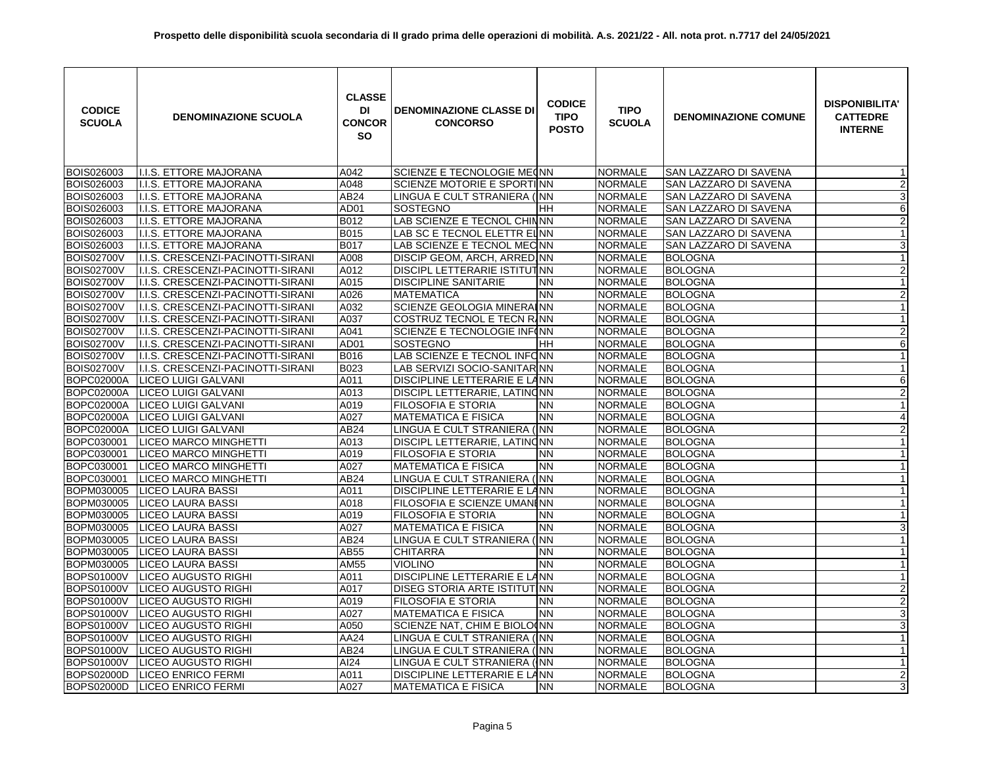| <b>CODICE</b><br><b>SCUOLA</b> | <b>DENOMINAZIONE SCUOLA</b>       | <b>CLASSE</b><br>DI<br><b>CONCOR</b><br><b>SO</b> | <b>DENOMINAZIONE CLASSE DI</b><br><b>CONCORSO</b> | <b>CODICE</b><br><b>TIPO</b><br><b>POSTO</b> | <b>TIPO</b><br><b>SCUOLA</b> | <b>DENOMINAZIONE COMUNE</b>  | <b>DISPONIBILITA'</b><br><b>CATTEDRE</b><br><b>INTERNE</b> |
|--------------------------------|-----------------------------------|---------------------------------------------------|---------------------------------------------------|----------------------------------------------|------------------------------|------------------------------|------------------------------------------------------------|
| <b>BOIS026003</b>              | I.I.S. ETTORE MAJORANA            | A042                                              | SCIENZE E TECNOLOGIE ME(NN                        |                                              | <b>NORMALE</b>               | <b>SAN LAZZARO DI SAVENA</b> | -1                                                         |
| BOIS026003                     | I.I.S. ETTORE MAJORANA            | A048                                              | SCIENZE MOTORIE E SPORTINN                        |                                              | <b>NORMALE</b>               | SAN LAZZARO DI SAVENA        | $\boldsymbol{2}$                                           |
| BOIS026003                     | I.I.S. ETTORE MAJORANA            | AB24                                              | LINGUA E CULT STRANIERA (NN                       |                                              | <b>NORMALE</b>               | SAN LAZZARO DI SAVENA        | ω                                                          |
| BOIS026003                     | I.I.S. ETTORE MAJORANA            | AD01                                              | SOSTEGNO                                          | HH                                           | <b>NORMALE</b>               | SAN LAZZARO DI SAVENA        | 6                                                          |
| BOIS026003                     | I.I.S. ETTORE MAJORANA            | B012                                              | LAB SCIENZE E TECNOL CHINNN                       |                                              | <b>NORMALE</b>               | SAN LAZZARO DI SAVENA        | $\overline{2}$                                             |
| BOIS026003                     | I.I.S. ETTORE MAJORANA            | <b>B015</b>                                       | LAB SC E TECNOL ELETTR ELNN                       |                                              | <b>NORMALE</b>               | SAN LAZZARO DI SAVENA        | $\mathbf{1}$                                               |
| <b>BOIS026003</b>              | I.I.S. ETTORE MAJORANA            | <b>B017</b>                                       | LAB SCIENZE E TECNOL MECNN                        |                                              | <b>NORMALE</b>               | SAN LAZZARO DI SAVENA        | $\overline{3}$                                             |
| <b>BOIS02700V</b>              | I.I.S. CRESCENZI-PACINOTTI-SIRANI | A008                                              | DISCIP GEOM, ARCH, ARRED NN                       |                                              | <b>NORMALE</b>               | <b>BOLOGNA</b>               | $\mathbf{1}$                                               |
| <b>BOIS02700V</b>              | I.I.S. CRESCENZI-PACINOTTI-SIRANI | A012                                              | DISCIPL LETTERARIE ISTITUTINN                     |                                              | <b>NORMALE</b>               | <b>BOLOGNA</b>               | $\overline{2}$                                             |
| <b>BOIS02700V</b>              | I.I.S. CRESCENZI-PACINOTTI-SIRANI | A015                                              | <b>DISCIPLINE SANITARIE</b>                       | <b>NN</b>                                    | <b>NORMALE</b>               | <b>BOLOGNA</b>               | $\mathbf{1}$                                               |
| <b>BOIS02700V</b>              | I.I.S. CRESCENZI-PACINOTTI-SIRANI | A026                                              | <b>MATEMATICA</b>                                 | <b>NN</b>                                    | <b>NORMALE</b>               | <b>BOLOGNA</b>               | $\overline{2}$                                             |
| <b>BOIS02700V</b>              | I.I.S. CRESCENZI-PACINOTTI-SIRANI | A032                                              | SCIENZE GEOLOGIA MINERAINN                        |                                              | <b>NORMALE</b>               | <b>BOLOGNA</b>               | $\mathbf{1}$                                               |
| <b>BOIS02700V</b>              | I.I.S. CRESCENZI-PACINOTTI-SIRANI | A037                                              | COSTRUZ TECNOL E TECN RINN                        |                                              | <b>NORMALE</b>               | <b>BOLOGNA</b>               | $\mathbf{1}$                                               |
| <b>BOIS02700V</b>              | I.I.S. CRESCENZI-PACINOTTI-SIRANI | A041                                              | SCIENZE E TECNOLOGIE INF(NN                       |                                              | <b>NORMALE</b>               | <b>BOLOGNA</b>               | $\overline{2}$                                             |
| <b>BOIS02700V</b>              | I.I.S. CRESCENZI-PACINOTTI-SIRANI | AD <sub>01</sub>                                  | SOSTEGNO                                          | HH                                           | <b>NORMALE</b>               | <b>BOLOGNA</b>               | 6                                                          |
| <b>BOIS02700V</b>              | I.I.S. CRESCENZI-PACINOTTI-SIRANI | <b>B016</b>                                       | LAB SCIENZE E TECNOL INFONN                       |                                              | <b>NORMALE</b>               | <b>BOLOGNA</b>               | $\mathbf{1}$                                               |
| <b>BOIS02700V</b>              | I.I.S. CRESCENZI-PACINOTTI-SIRANI | B023                                              | LAB SERVIZI SOCIO-SANITAR NN                      |                                              | <b>NORMALE</b>               | <b>BOLOGNA</b>               | $\mathbf{1}$                                               |
| <b>BOPC02000A</b>              | <b>LICEO LUIGI GALVANI</b>        | A011                                              | DISCIPLINE LETTERARIE E LANN                      |                                              | <b>NORMALE</b>               | <b>BOLOGNA</b>               | 6                                                          |
| <b>BOPC02000A</b>              | LICEO LUIGI GALVANI               | A013                                              | DISCIPL LETTERARIE, LATINONN                      |                                              | <b>NORMALE</b>               | <b>BOLOGNA</b>               | $\overline{2}$                                             |
| <b>BOPC02000A</b>              | LICEO LUIGI GALVANI               | A019                                              | FILOSOFIA E STORIA                                | NN                                           | <b>NORMALE</b>               | <b>BOLOGNA</b>               | $\mathbf{1}$                                               |
| <b>BOPC02000A</b>              | LICEO LUIGI GALVANI               | A027                                              | <b>MATEMATICA E FISICA</b>                        | <b>NN</b>                                    | <b>NORMALE</b>               | <b>BOLOGNA</b>               | $\overline{4}$                                             |
| <b>BOPC02000A</b>              | <b>LICEO LUIGI GALVANI</b>        | AB24                                              | LINGUA E CULT STRANIERA                           | $($ NN                                       | <b>NORMALE</b>               | <b>BOLOGNA</b>               | $\overline{2}$                                             |
| BOPC030001                     | <b>LICEO MARCO MINGHETTI</b>      | A013                                              | DISCIPL LETTERARIE, LATINONN                      |                                              | <b>NORMALE</b>               | <b>BOLOGNA</b>               | $\mathbf{1}$                                               |
| BOPC030001                     | <b>LICEO MARCO MINGHETTI</b>      | A019                                              | <b>FILOSOFIA E STORIA</b>                         | <b>NN</b>                                    | <b>NORMALE</b>               | <b>BOLOGNA</b>               | $\mathbf{1}$                                               |
| BOPC030001                     | <b>LICEO MARCO MINGHETTI</b>      | A027                                              | <b>MATEMATICA E FISICA</b>                        | <b>NN</b>                                    | <b>NORMALE</b>               | <b>BOLOGNA</b>               | $\mathbf{1}$                                               |
| BOPC030001                     | LICEO MARCO MINGHETTI             | AB24                                              | LINGUA E CULT STRANIERA (INN                      |                                              | <b>NORMALE</b>               | <b>BOLOGNA</b>               | $\mathbf{1}$                                               |
| BOPM030005                     | <b>LICEO LAURA BASSI</b>          | A011                                              | DISCIPLINE LETTERARIE E LANN                      |                                              | <b>NORMALE</b>               | <b>BOLOGNA</b>               | $\mathbf{1}$                                               |
| BOPM030005                     | <b>LICEO LAURA BASSI</b>          | A018                                              | FILOSOFIA E SCIENZE UMANI NN                      |                                              | <b>NORMALE</b>               | <b>BOLOGNA</b>               | $\mathbf{1}$                                               |
| BOPM030005                     | <b>LICEO LAURA BASSI</b>          | A019                                              | FILOSOFIA E STORIA                                | <b>NN</b>                                    | <b>NORMALE</b>               | <b>BOLOGNA</b>               | $\mathbf{1}$                                               |
| BOPM030005                     | <b>LICEO LAURA BASSI</b>          | A027                                              | <b>MATEMATICA E FISICA</b>                        | <b>NN</b>                                    | <b>NORMALE</b>               | <b>BOLOGNA</b>               | ω                                                          |
| BOPM030005                     | LICEO LAURA BASSI                 | AB24                                              | LINGUA E CULT STRANIERA (INN                      |                                              | <b>NORMALE</b>               | <b>BOLOGNA</b>               | $\mathbf{1}$                                               |
| BOPM030005                     | <b>LICEO LAURA BASSI</b>          | AB55                                              | CHITARRA                                          | ΝN                                           | <b>NORMALE</b>               | <b>BOLOGNA</b>               | $\mathbf{1}$                                               |
| BOPM030005                     | LICEO LAURA BASSI                 | AM55                                              | <b>VIOLINO</b>                                    | <b>NN</b>                                    | <b>NORMALE</b>               | <b>BOLOGNA</b>               | $\mathbf{1}$                                               |
| BOPS01000V                     | <b>LICEO AUGUSTO RIGHI</b>        | A011                                              | DISCIPLINE LETTERARIE E LANN                      |                                              | <b>NORMALE</b>               | <b>BOLOGNA</b>               | $\overline{1}$                                             |
| <b>BOPS01000V</b>              | LICEO AUGUSTO RIGHI               | A017                                              | DISEG STORIA ARTE ISTITUTINN                      |                                              | <b>NORMALE</b>               | <b>BOLOGNA</b>               | $\overline{2}$                                             |
| <b>BOPS01000V</b>              | <b>LICEO AUGUSTO RIGHI</b>        | A019                                              | FILOSOFIA E STORIA                                | <b>NN</b>                                    | <b>NORMALE</b>               | <b>BOLOGNA</b>               | $\overline{2}$                                             |
| <b>BOPS01000V</b>              | <b>LICEO AUGUSTO RIGHI</b>        | A027                                              | <b>MATEMATICA E FISICA</b>                        | <b>NN</b>                                    | <b>NORMALE</b>               | <b>BOLOGNA</b>               | $\overline{3}$                                             |
| <b>BOPS01000V</b>              | <b>LICEO AUGUSTO RIGHI</b>        | A050                                              | SCIENZE NAT, CHIM E BIOLO(NN                      |                                              | <b>NORMALE</b>               | <b>BOLOGNA</b>               | 3                                                          |
| <b>BOPS01000V</b>              | LICEO AUGUSTO RIGHI               | AA24                                              | LINGUA E CULT STRANIERA (INN                      |                                              | <b>NORMALE</b>               | <b>BOLOGNA</b>               | $\overline{1}$                                             |
| <b>BOPS01000V</b>              | <b>LICEO AUGUSTO RIGHI</b>        | AB24                                              | LINGUA E CULT STRANIERA (INN                      |                                              | <b>NORMALE</b>               | <b>BOLOGNA</b>               | $\mathbf{1}$                                               |
| <b>BOPS01000V</b>              | <b>LICEO AUGUSTO RIGHI</b>        | AI24                                              | LINGUA E CULT STRANIERA (NN                       |                                              | <b>NORMALE</b>               | <b>BOLOGNA</b>               | $\mathbf{1}$                                               |
| <b>BOPS02000D</b>              | <b>LICEO ENRICO FERMI</b>         | A011                                              | DISCIPLINE LETTERARIE E LANN                      |                                              | <b>NORMALE</b>               | <b>BOLOGNA</b>               | $\boldsymbol{2}$                                           |
|                                | BOPS02000D   LICEO ENRICO FERMI   | A027                                              | <b>MATEMATICA E FISICA</b>                        | ΝN                                           | <b>NORMALE</b>               | <b>BOLOGNA</b>               | 3                                                          |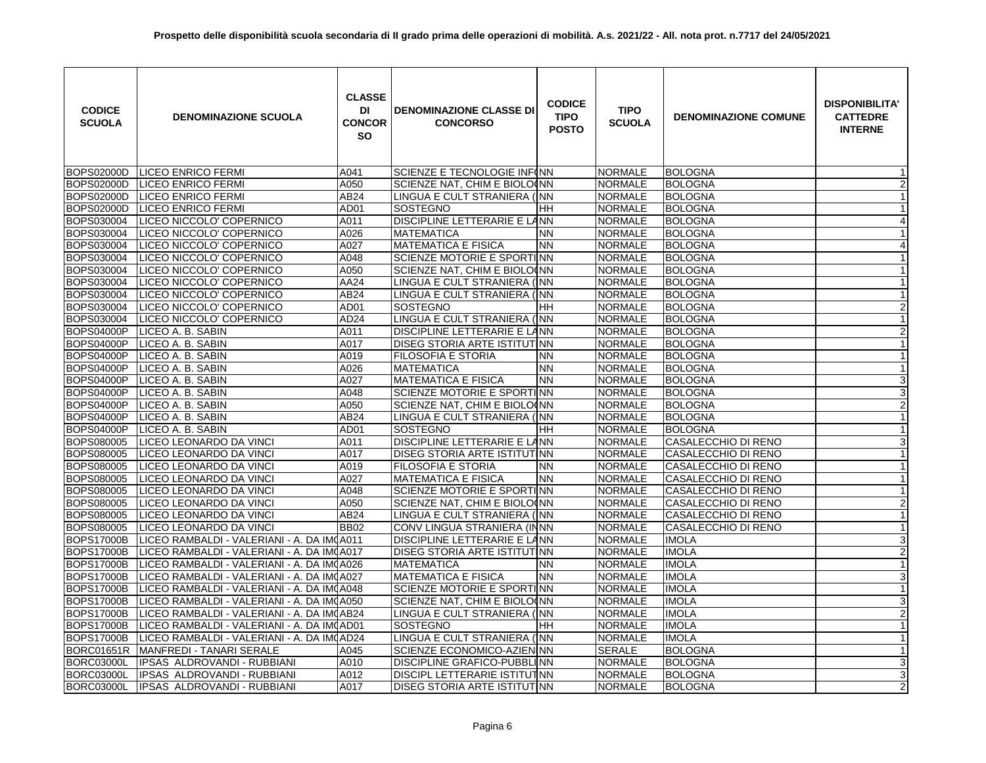| <b>CODICE</b><br><b>SCUOLA</b> | <b>DENOMINAZIONE SCUOLA</b>                | <b>CLASSE</b><br>DI<br><b>CONCOR</b><br><b>SO</b> | <b>DENOMINAZIONE CLASSE DI</b><br><b>CONCORSO</b> | <b>CODICE</b><br><b>TIPO</b><br><b>POSTO</b> | <b>TIPO</b><br><b>SCUOLA</b> | <b>DENOMINAZIONE COMUNE</b> | <b>DISPONIBILITA'</b><br><b>CATTEDRE</b><br><b>INTERNE</b> |
|--------------------------------|--------------------------------------------|---------------------------------------------------|---------------------------------------------------|----------------------------------------------|------------------------------|-----------------------------|------------------------------------------------------------|
| BOPS02000D                     | <b>LICEO ENRICO FERMI</b>                  | A041                                              | SCIENZE E TECNOLOGIE INF(NN                       |                                              | <b>NORMALE</b>               | <b>BOLOGNA</b>              |                                                            |
| <b>BOPS02000D</b>              | <b>LICEO ENRICO FERMI</b>                  | A050                                              | SCIENZE NAT, CHIM E BIOLO(NN                      |                                              | <b>NORMALE</b>               | <b>BOLOGNA</b>              | $\boldsymbol{2}$                                           |
| <b>BOPS02000D</b>              | <b>LICEO ENRICO FERMI</b>                  | AB24                                              | LINGUA E CULT STRANIERA (INN                      |                                              | <b>NORMALE</b>               | <b>BOLOGNA</b>              | $\mathbf{1}$                                               |
| <b>BOPS02000D</b>              | <b>LICEO ENRICO FERMI</b>                  | AD01                                              | <b>SOSTEGNO</b>                                   | HH                                           | <b>NORMALE</b>               | <b>BOLOGNA</b>              | $\mathbf{1}$                                               |
| BOPS030004                     | LICEO NICCOLO' COPERNICO                   | A011                                              | DISCIPLINE LETTERARIE E LANN                      |                                              | <b>NORMALE</b>               | <b>BOLOGNA</b>              | $\overline{4}$                                             |
| BOPS030004                     | LICEO NICCOLO' COPERNICO                   | A026                                              | <b>MATEMATICA</b>                                 | <b>NN</b>                                    | <b>NORMALE</b>               | <b>BOLOGNA</b>              |                                                            |
| <b>BOPS030004</b>              | LICEO NICCOLO' COPERNICO                   | A027                                              | <b>MATEMATICA E FISICA</b>                        | <b>NN</b>                                    | <b>NORMALE</b>               | <b>BOLOGNA</b>              | 4                                                          |
| BOPS030004                     | LICEO NICCOLO' COPERNICO                   | A048                                              | SCIENZE MOTORIE E SPORTINN                        |                                              | NORMALE                      | <b>BOLOGNA</b>              | $\mathbf{1}$                                               |
| BOPS030004                     | LICEO NICCOLO' COPERNICO                   | A050                                              | SCIENZE NAT, CHIM E BIOLO(NN                      |                                              | <b>NORMALE</b>               | <b>BOLOGNA</b>              | $\mathbf{1}$                                               |
| BOPS030004                     | LICEO NICCOLO' COPERNICO                   | AA24                                              | LINGUA E CULT STRANIERA (INN                      |                                              | <b>NORMALE</b>               | <b>BOLOGNA</b>              | $\mathbf{1}$                                               |
| BOPS030004                     | LICEO NICCOLO' COPERNICO                   | AB24                                              | LINGUA E CULT STRANIERA (INN                      |                                              | <b>NORMALE</b>               | <b>BOLOGNA</b>              | $\mathbf{1}$                                               |
| BOPS030004                     | LICEO NICCOLO' COPERNICO                   | AD01                                              | SOSTEGNO                                          | HH                                           | <b>NORMALE</b>               | <b>BOLOGNA</b>              | $\overline{2}$                                             |
| BOPS030004                     | LICEO NICCOLO' COPERNICO                   | AD <sub>24</sub>                                  | LINGUA E CULT STRANIERA (INN                      |                                              | <b>NORMALE</b>               | <b>BOLOGNA</b>              | $\mathbf{1}$                                               |
| <b>BOPS04000P</b>              | LICEO A. B. SABIN                          | A011                                              | DISCIPLINE LETTERARIE E LANN                      |                                              | <b>NORMALE</b>               | <b>BOLOGNA</b>              | $\overline{2}$                                             |
| <b>BOPS04000P</b>              | LICEO A. B. SABIN                          | A017                                              | DISEG STORIA ARTE ISTITUTINN                      |                                              | <b>NORMALE</b>               | <b>BOLOGNA</b>              | $\mathbf{1}$                                               |
| <b>BOPS04000P</b>              | LICEO A. B. SABIN                          | A019                                              | <b>FILOSOFIA E STORIA</b>                         | ΝN                                           | <b>NORMALE</b>               | <b>BOLOGNA</b>              | $\mathbf{1}$                                               |
| <b>BOPS04000P</b>              | LICEO A. B. SABIN                          | A026                                              | <b>MATEMATICA</b>                                 | <b>NN</b>                                    | <b>NORMALE</b>               | <b>BOLOGNA</b>              | $\mathbf{1}$                                               |
| <b>BOPS04000P</b>              | LICEO A. B. SABIN                          | A027                                              | <b>MATEMATICA E FISICA</b>                        | <b>NN</b>                                    | <b>NORMALE</b>               | <b>BOLOGNA</b>              | $\overline{3}$                                             |
| <b>BOPS04000P</b>              | LICEO A. B. SABIN                          | A048                                              | SCIENZE MOTORIE E SPORTINN                        |                                              | <b>NORMALE</b>               | <b>BOLOGNA</b>              | $\overline{3}$                                             |
| <b>BOPS04000P</b>              | LICEO A. B. SABIN                          | A050                                              | SCIENZE NAT, CHIM E BIOLO(NN                      |                                              | <b>NORMALE</b>               | <b>BOLOGNA</b>              | $\overline{2}$                                             |
| <b>BOPS04000P</b>              | LICEO A. B. SABIN                          | AB24                                              | LINGUA E CULT STRANIERA (INN                      |                                              | <b>NORMALE</b>               | <b>BOLOGNA</b>              | $\mathbf{1}$                                               |
| <b>BOPS04000P</b>              | LICEO A. B. SABIN                          | AD <sub>01</sub>                                  | SOSTEGNO                                          | HН                                           | <b>NORMALE</b>               | <b>BOLOGNA</b>              | $\mathbf{1}$                                               |
| <b>BOPS080005</b>              | LICEO LEONARDO DA VINCI                    | A011                                              | DISCIPLINE LETTERARIE E LANN                      |                                              | <b>NORMALE</b>               | CASALECCHIO DI RENO         | 3                                                          |
| BOPS080005                     | LICEO LEONARDO DA VINCI                    | A017                                              | DISEG STORIA ARTE ISTITUTINN                      |                                              | <b>NORMALE</b>               | CASALECCHIO DI RENO         | $\mathbf{1}$                                               |
| BOPS080005                     | LICEO LEONARDO DA VINCI                    | A019                                              | FILOSOFIA E STORIA                                | <b>NN</b>                                    | <b>NORMALE</b>               | CASALECCHIO DI RENO         | $\mathbf{1}$                                               |
| BOPS080005                     | LICEO LEONARDO DA VINCI                    | A027                                              | <b>MATEMATICA E FISICA</b>                        | <b>NN</b>                                    | <b>NORMALE</b>               | CASALECCHIO DI RENO         | $\mathbf{1}$                                               |
| BOPS080005                     | LICEO LEONARDO DA VINCI                    | A048                                              | SCIENZE MOTORIE E SPORTINN                        |                                              | <b>NORMALE</b>               | CASALECCHIO DI RENO         | $\mathbf{1}$                                               |
| BOPS080005                     | LICEO LEONARDO DA VINCI                    | A050                                              | SCIENZE NAT, CHIM E BIOLO(NN                      |                                              | <b>NORMALE</b>               | CASALECCHIO DI RENO         | $\overline{2}$                                             |
| BOPS080005                     | LICEO LEONARDO DA VINCI                    | AB24                                              | LINGUA E CULT STRANIERA (INN                      |                                              | <b>NORMALE</b>               | CASALECCHIO DI RENO         | $\mathbf{1}$                                               |
| BOPS080005                     | LICEO LEONARDO DA VINCI                    | <b>BB02</b>                                       | CONV LINGUA STRANIERA (INNN                       |                                              | <b>NORMALE</b>               | CASALECCHIO DI RENO         | $\overline{1}$                                             |
| <b>BOPS17000B</b>              | LICEO RAMBALDI - VALERIANI - A. DA IMOA011 |                                                   | DISCIPLINE LETTERARIE E LANN                      |                                              | <b>NORMALE</b>               | <b>IMOLA</b>                | 3                                                          |
| <b>BOPS17000B</b>              | LICEO RAMBALDI - VALERIANI - A. DA IMOA017 |                                                   | DISEG STORIA ARTE ISTITUTINN                      |                                              | <b>NORMALE</b>               | <b>IMOLA</b>                | $\overline{2}$                                             |
| <b>BOPS17000B</b>              | LICEO RAMBALDI - VALERIANI - A. DA IMOA026 |                                                   | <b>MATEMATICA</b>                                 | NN                                           | <b>NORMALE</b>               | <b>IMOLA</b>                | $\mathbf{1}$                                               |
| <b>BOPS17000B</b>              | LICEO RAMBALDI - VALERIANI - A. DA IMOA027 |                                                   | <b>MATEMATICA E FISICA</b>                        | <b>NN</b>                                    | <b>NORMALE</b>               | <b>IMOLA</b>                | $\sqrt{3}$                                                 |
| <b>BOPS17000B</b>              | LICEO RAMBALDI - VALERIANI - A. DA IMJA048 |                                                   | SCIENZE MOTORIE E SPORTINN                        |                                              | <b>NORMALE</b>               | <b>IMOLA</b>                | $\mathbf{1}$                                               |
| <b>BOPS17000B</b>              | LICEO RAMBALDI - VALERIANI - A. DA IM(A050 |                                                   | SCIENZE NAT, CHIM E BIOLO(NN                      |                                              | <b>NORMALE</b>               | <b>IMOLA</b>                | $\ensuremath{\mathsf{3}}$                                  |
| <b>BOPS17000B</b>              | LICEO RAMBALDI - VALERIANI - A. DA IMQAB24 |                                                   | LINGUA E CULT STRANIERA (INN                      |                                              | <b>NORMALE</b>               | <b>IMOLA</b>                | $\overline{2}$                                             |
| <b>BOPS17000B</b>              | LICEO RAMBALDI - VALERIANI - A. DA IMJAD01 |                                                   | <b>SOSTEGNO</b>                                   | HH.                                          | <b>NORMALE</b>               | <b>IMOLA</b>                | $\mathbf{1}$                                               |
| <b>BOPS17000B</b>              | LICEO RAMBALDI - VALERIANI - A. DA IM(AD24 |                                                   | LINGUA E CULT STRANIERA (INN                      |                                              | <b>NORMALE</b>               | <b>IMOLA</b>                | $\mathbf{1}$                                               |
| <b>BORC01651R</b>              | MANFREDI - TANARI SERALE                   | A045                                              | SCIENZE ECONOMICO-AZIENINN                        |                                              | <b>SERALE</b>                | <b>BOLOGNA</b>              | $\mathbf{1}$                                               |
| <b>BORC03000L</b>              | IPSAS ALDROVANDI - RUBBIANI                | A010                                              | DISCIPLINE GRAFICO-PUBBLINN                       |                                              | <b>NORMALE</b>               | <b>BOLOGNA</b>              | $\overline{3}$                                             |
| <b>BORC03000L</b>              | IPSAS ALDROVANDI - RUBBIANI                | A012                                              | DISCIPL LETTERARIE ISTITUTINN                     |                                              | <b>NORMALE</b>               | <b>BOLOGNA</b>              | $\overline{3}$                                             |
| BORC03000L                     | IPSAS ALDROVANDI - RUBBIANI                | A017                                              | DISEG STORIA ARTE ISTITUTINN                      |                                              | <b>NORMALE</b>               | <b>BOLOGNA</b>              | $\overline{2}$                                             |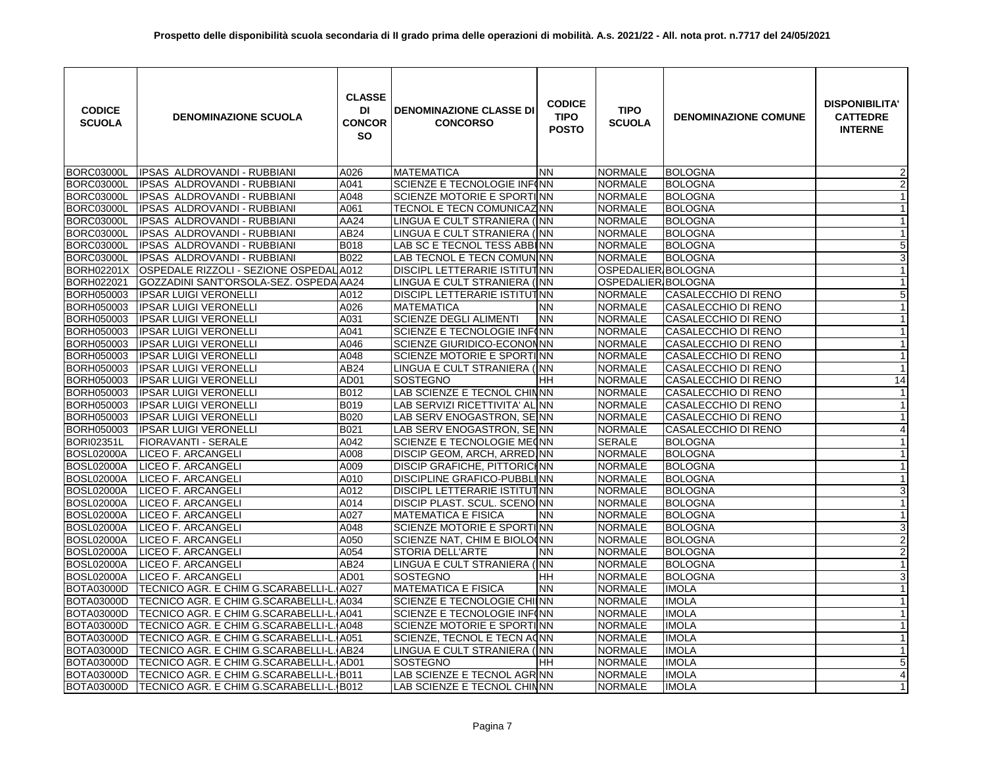| <b>CODICE</b><br><b>SCUOLA</b> | <b>DENOMINAZIONE SCUOLA</b>              | <b>CLASSE</b><br>DI<br><b>CONCOR</b><br><b>SO</b> | <b>DENOMINAZIONE CLASSE DI</b><br><b>CONCORSO</b> | <b>CODICE</b><br><b>TIPO</b><br><b>POSTO</b> | <b>TIPO</b><br><b>SCUOLA</b> | <b>DENOMINAZIONE COMUNE</b> | <b>DISPONIBILITA'</b><br><b>CATTEDRE</b><br><b>INTERNE</b> |
|--------------------------------|------------------------------------------|---------------------------------------------------|---------------------------------------------------|----------------------------------------------|------------------------------|-----------------------------|------------------------------------------------------------|
| <b>BORC03000L</b>              | <b>IPSAS ALDROVANDI - RUBBIANI</b>       | A026                                              | <b>MATEMATICA</b>                                 | <b>NN</b>                                    | <b>NORMALE</b>               | <b>BOLOGNA</b>              | 2                                                          |
| <b>BORC03000L</b>              | IPSAS ALDROVANDI - RUBBIANI              | A041                                              | SCIENZE E TECNOLOGIE INF(NN                       |                                              | <b>NORMALE</b>               | <b>BOLOGNA</b>              | $\overline{2}$                                             |
| <b>BORC03000L</b>              | IPSAS ALDROVANDI - RUBBIANI              | A048                                              | SCIENZE MOTORIE E SPORTINN                        |                                              | <b>NORMALE</b>               | <b>BOLOGNA</b>              | $\mathbf{1}$                                               |
| <b>BORC03000L</b>              | IPSAS ALDROVANDI - RUBBIANI              | A061                                              | TECNOL E TECN COMUNICAZINN                        |                                              | <b>NORMALE</b>               | <b>BOLOGNA</b>              | $\mathbf{1}$                                               |
| <b>BORC03000L</b>              | IPSAS ALDROVANDI - RUBBIANI              | AA24                                              | LINGUA E CULT STRANIERA (INN                      |                                              | <b>NORMALE</b>               | <b>BOLOGNA</b>              | $\mathbf{1}$                                               |
| <b>BORC03000L</b>              | IPSAS ALDROVANDI - RUBBIANI              | AB24                                              | LINGUA E CULT STRANIERA (INN                      |                                              | <b>NORMALE</b>               | <b>BOLOGNA</b>              | $\mathbf{1}$                                               |
| <b>BORC03000L</b>              | IPSAS ALDROVANDI - RUBBIANI              | B018                                              | LAB SC E TECNOL TESS ABBINN                       |                                              | <b>NORMALE</b>               | <b>BOLOGNA</b>              | 5                                                          |
| <b>BORC03000L</b>              | IPSAS ALDROVANDI - RUBBIANI              | B022                                              | LAB TECNOL E TECN COMUNINN                        |                                              | <b>NORMALE</b>               | <b>BOLOGNA</b>              | $\overline{3}$                                             |
| <b>BORH02201X</b>              | OSPEDALE RIZZOLI - SEZIONE OSPEDAL       | A012                                              | <b>DISCIPL LETTERARIE ISTITUTINN</b>              |                                              | OSPEDALIER BOLOGNA           |                             | $\mathbf{1}$                                               |
| BORH022021                     | GOZZADINI SANT'ORSOLA-SEZ. OSPEDA AA24   |                                                   | LINGUA E CULT STRANIERA (INN                      |                                              | OSPEDALIER BOLOGNA           |                             | $\mathbf{1}$                                               |
| BORH050003                     | <b>IPSAR LUIGI VERONELLI</b>             | A012                                              | DISCIPL LETTERARIE ISTITUTINN                     |                                              | <b>NORMALE</b>               | CASALECCHIO DI RENO         | $\overline{5}$                                             |
| BORH050003                     | <b>IPSAR LUIGI VERONELLI</b>             | A026                                              | <b>MATEMATICA</b>                                 | <b>NN</b>                                    | <b>NORMALE</b>               | CASALECCHIO DI RENO         | $\mathbf{1}$                                               |
| BORH050003                     | IPSAR LUIGI VERONELLI                    | A031                                              | <b>SCIENZE DEGLI ALIMENTI</b>                     | <b>NN</b>                                    | <b>NORMALE</b>               | CASALECCHIO DI RENO         | $\mathbf{1}$                                               |
| BORH050003                     | IPSAR LUIGI VERONELLI                    | A041                                              | SCIENZE E TECNOLOGIE INFINN                       |                                              | <b>NORMALE</b>               | CASALECCHIO DI RENO         | $\mathbf{1}$                                               |
| BORH050003                     | IPSAR LUIGI VERONELLI                    | A046                                              | SCIENZE GIURIDICO-ECONONNN                        |                                              | <b>NORMALE</b>               | CASALECCHIO DI RENO         | $\mathbf{1}$                                               |
| BORH050003                     | <b>IPSAR LUIGI VERONELLI</b>             | A048                                              | SCIENZE MOTORIE E SPORTINN                        |                                              | <b>NORMALE</b>               | CASALECCHIO DI RENO         | $\mathbf{1}$                                               |
| BORH050003                     | <b>IPSAR LUIGI VERONELLI</b>             | AB24                                              | LINGUA E CULT STRANIERA (INN                      |                                              | <b>NORMALE</b>               | CASALECCHIO DI RENO         | $\mathbf{1}$                                               |
| BORH050003                     | <b>IPSAR LUIGI VERONELLI</b>             | AD01                                              | <b>SOSTEGNO</b>                                   | HH                                           | <b>NORMALE</b>               | CASALECCHIO DI RENO         | 14                                                         |
| BORH050003                     | <b>IPSAR LUIGI VERONELLI</b>             | B012                                              | LAB SCIENZE E TECNOL CHINNN                       |                                              | <b>NORMALE</b>               | CASALECCHIO DI RENO         |                                                            |
| BORH050003                     | <b>IPSAR LUIGI VERONELLI</b>             | <b>B019</b>                                       | LAB SERVIZI RICETTIVITA' AL NN                    |                                              | <b>NORMALE</b>               | CASALECCHIO DI RENO         | $\mathbf{1}$                                               |
| BORH050003                     | <b>IPSAR LUIGI VERONELLI</b>             | B020                                              | LAB SERV ENOGASTRON, SEINN                        |                                              | <b>NORMALE</b>               | CASALECCHIO DI RENO         | $\mathbf{1}$                                               |
| BORH050003                     | <b>IPSAR LUIGI VERONELLI</b>             | B021                                              | LAB SERV ENOGASTRON, SEINN                        |                                              | <b>NORMALE</b>               | CASALECCHIO DI RENO         | $\overline{4}$                                             |
| <b>BORI02351L</b>              | FIORAVANTI - SERALE                      | A042                                              | SCIENZE E TECNOLOGIE ME(NN                        |                                              | <b>SERALE</b>                | <b>BOLOGNA</b>              | $\mathbf{1}$                                               |
| <b>BOSL02000A</b>              | LICEO F. ARCANGELI                       | A008                                              | DISCIP GEOM, ARCH, ARRED INN                      |                                              | <b>NORMALE</b>               | <b>BOLOGNA</b>              | $\mathbf{1}$                                               |
| <b>BOSL02000A</b>              | <b>LICEO F. ARCANGELI</b>                | A009                                              | <b>DISCIP GRAFICHE, PITTORICHNN</b>               |                                              | <b>NORMALE</b>               | <b>BOLOGNA</b>              | $\mathbf{1}$                                               |
| <b>BOSL02000A</b>              | LICEO F. ARCANGELI                       | A010                                              | DISCIPLINE GRAFICO-PUBBLINN                       |                                              | <b>NORMALE</b>               | <b>BOLOGNA</b>              | $\mathbf{1}$                                               |
| <b>BOSL02000A</b>              | LICEO F. ARCANGELI                       | A012                                              | DISCIPL LETTERARIE ISTITUTINN                     |                                              | <b>NORMALE</b>               | <b>BOLOGNA</b>              | $\sqrt{3}$                                                 |
| <b>BOSL02000A</b>              | <b>LICEO F. ARCANGELI</b>                | A014                                              | DISCIP PLAST. SCUL. SCENOINN                      |                                              | <b>NORMALE</b>               | <b>BOLOGNA</b>              | $\mathbf{1}$                                               |
| <b>BOSL02000A</b>              | LICEO F. ARCANGELI                       | A027                                              | <b>MATEMATICA E FISICA</b>                        | <b>NN</b>                                    | <b>NORMALE</b>               | <b>BOLOGNA</b>              | $\mathbf{1}$                                               |
| <b>BOSL02000A</b>              | LICEO F. ARCANGELI                       | A048                                              | SCIENZE MOTORIE E SPORTINN                        |                                              | <b>NORMALE</b>               | <b>BOLOGNA</b>              | 3                                                          |
| <b>BOSL02000A</b>              | LICEO F. ARCANGELI                       | A050                                              | SCIENZE NAT, CHIM E BIOLO(NN                      |                                              | <b>NORMALE</b>               | <b>BOLOGNA</b>              | $\overline{2}$                                             |
| <b>BOSL02000A</b>              | LICEO F. ARCANGELI                       | A054                                              | <b>STORIA DELL'ARTE</b>                           | <b>NN</b>                                    | <b>NORMALE</b>               | <b>BOLOGNA</b>              | $\overline{2}$                                             |
| <b>BOSL02000A</b>              | LICEO F. ARCANGELI                       | AB24                                              | LINGUA E CULT STRANIERA (INN                      |                                              | <b>NORMALE</b>               | <b>BOLOGNA</b>              | $\mathbf{1}$                                               |
| <b>BOSL02000A</b>              | LICEO F. ARCANGELI                       | AD01                                              | SOSTEGNO                                          | HH                                           | <b>NORMALE</b>               | <b>BOLOGNA</b>              | $\sqrt{3}$                                                 |
| <b>BOTA03000D</b>              | TECNICO AGR. E CHIM G.SCARABELLI-L.      | A027                                              | <b>MATEMATICA E FISICA</b>                        | <b>NN</b>                                    | <b>NORMALE</b>               | <b>IMOLA</b>                | $\mathbf{1}$                                               |
| <b>BOTA03000D</b>              | TECNICO AGR. E CHIM G.SCARABELLI-L. A034 |                                                   | SCIENZE E TECNOLOGIE CHINN                        |                                              | <b>NORMALE</b>               | <b>IMOLA</b>                | $\mathbf{1}$                                               |
| <b>BOTA03000D</b>              | TECNICO AGR. E CHIM G.SCARABELLI-L.      | A041                                              | SCIENZE E TECNOLOGIE INF(NN                       |                                              | <b>NORMALE</b>               | <b>IMOLA</b>                | $\mathbf{1}$                                               |
| <b>BOTA03000D</b>              | TECNICO AGR. E CHIM G.SCARABELLI-L. A048 |                                                   | SCIENZE MOTORIE E SPORTINN                        |                                              | <b>NORMALE</b>               | <b>IMOLA</b>                | $\mathbf{1}$                                               |
| <b>BOTA03000D</b>              | TECNICO AGR. E CHIM G.SCARABELLI-L. A051 |                                                   | SCIENZE, TECNOL E TECN ACNN                       |                                              | <b>NORMALE</b>               | <b>IMOLA</b>                | $\mathbf{1}$                                               |
| <b>BOTA03000D</b>              | TECNICO AGR. E CHIM G.SCARABELLI-L. AB24 |                                                   | LINGUA E CULT STRANIERA (INN                      |                                              | <b>NORMALE</b>               | <b>IMOLA</b>                | $\mathbf{1}$                                               |
| <b>BOTA03000D</b>              | TECNICO AGR. E CHIM G.SCARABELLI-L. AD01 |                                                   | SOSTEGNO                                          | <b>HH</b>                                    | <b>NORMALE</b>               | <b>IMOLA</b>                | $\mathbf 5$                                                |
| <b>BOTA03000D</b>              | TECNICO AGR. E CHIM G.SCARABELLI-L. B011 |                                                   | LAB SCIENZE E TECNOL AGR NN                       |                                              | <b>NORMALE</b>               | <b>IMOLA</b>                | 4                                                          |
| <b>BOTA03000D</b>              | TECNICO AGR. E CHIM G.SCARABELLI-L. B012 |                                                   | LAB SCIENZE E TECNOL CHINNN                       |                                              | <b>NORMALE</b>               | <b>IMOLA</b>                | $\mathbf{1}$                                               |